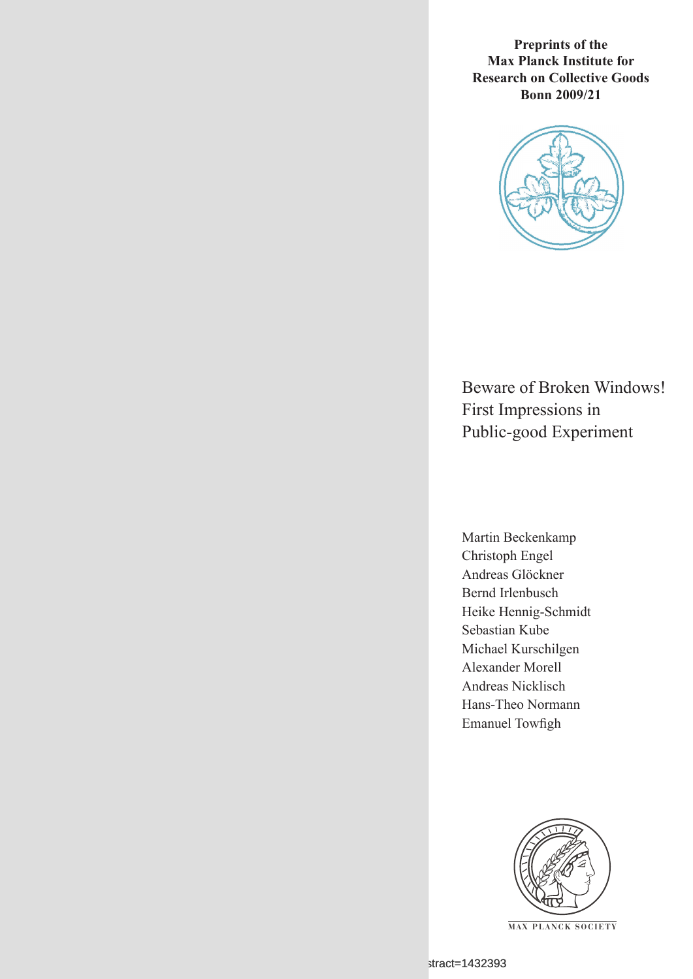**Preprints of the Max Planck Institute for Research on Collective Goods Bonn 2009/21**



Beware of Broken Windows! First Impressions in Public-good Experiment

Martin Beckenkamp Christoph Engel Andreas Glöckner Bernd Irlenbusch Heike Hennig-Schmidt Sebastian Kube Michael Kurschilgen Alexander Morell Andreas Nicklisch Hans-Theo Normann Emanuel Towfigh



**M AX P L A N C K S O C I E T Y**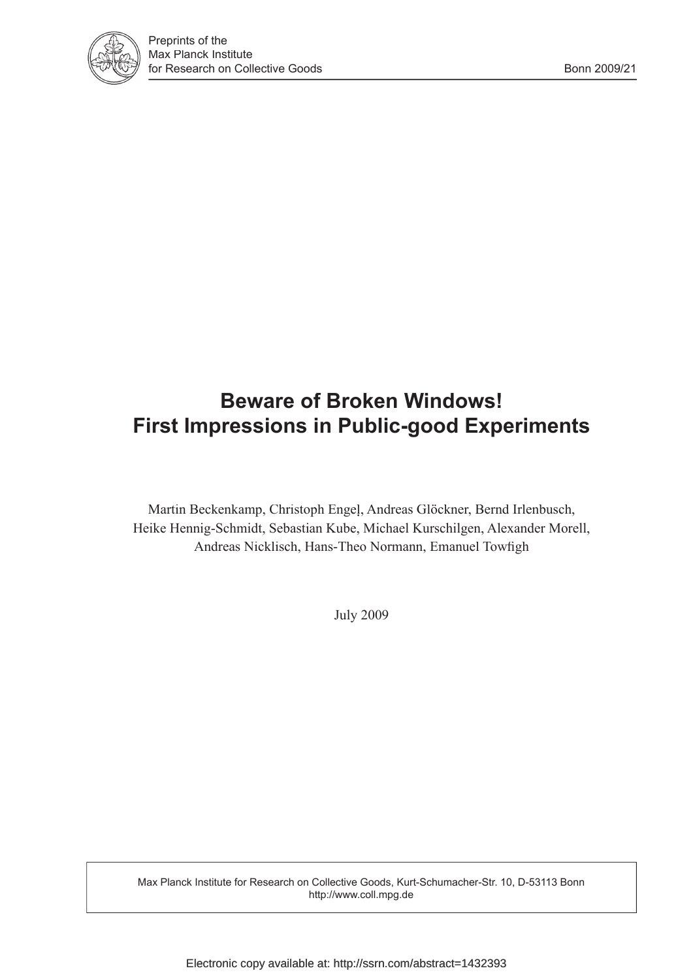

# **Beware of Broken Windows! First Impressions in Public-good Experiments**

Martin Beckenkamp, Christoph Engel, Andreas Glöckner, Bernd Irlenbusch, Heike Hennig-Schmidt, Sebastian Kube, Michael Kurschilgen, Alexander Morell, Andreas Nicklisch, Hans-Theo Normann, Emanuel Towfigh

July 2009

Max Planck Institute for Research on Collective Goods, Kurt-Schumacher-Str. 10, D-53113 Bonn http://www.coll.mpg.de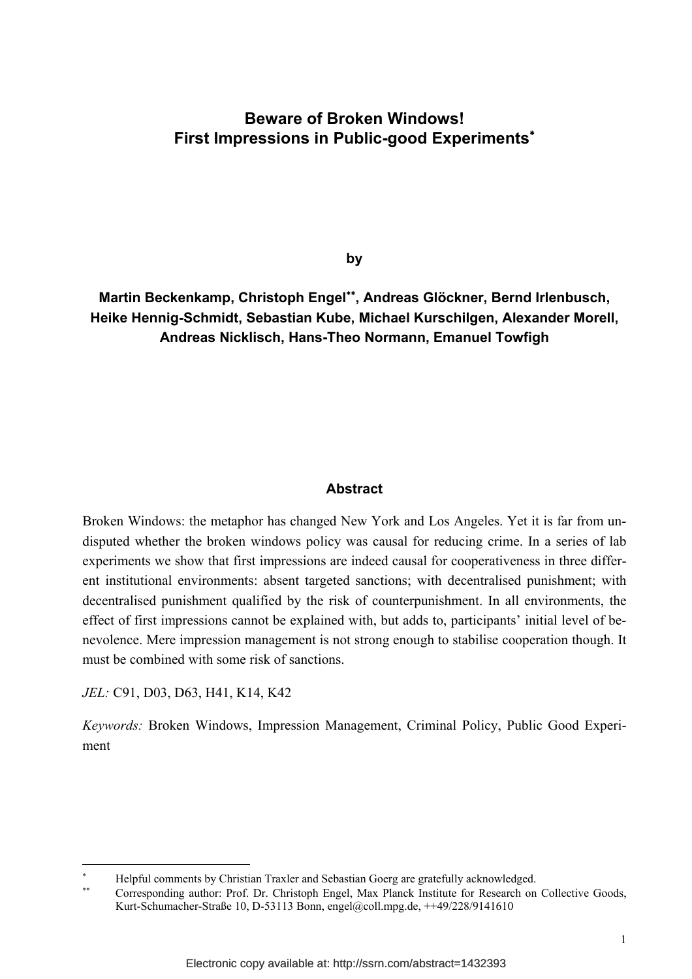# **Beware of Broken Windows! First Impressions in Public-good Experiments**<sup>∗</sup>

**by** 

# **Martin Beckenkamp, Christoph Engel**∗∗**, Andreas Glöckner, Bernd Irlenbusch, Heike Hennig-Schmidt, Sebastian Kube, Michael Kurschilgen, Alexander Morell, Andreas Nicklisch, Hans-Theo Normann, Emanuel Towfigh**

#### **Abstract**

Broken Windows: the metaphor has changed New York and Los Angeles. Yet it is far from undisputed whether the broken windows policy was causal for reducing crime. In a series of lab experiments we show that first impressions are indeed causal for cooperativeness in three different institutional environments: absent targeted sanctions; with decentralised punishment; with decentralised punishment qualified by the risk of counterpunishment. In all environments, the effect of first impressions cannot be explained with, but adds to, participants' initial level of benevolence. Mere impression management is not strong enough to stabilise cooperation though. It must be combined with some risk of sanctions.

*JEL:* C91, D03, D63, H41, K14, K42

-

*Keywords:* Broken Windows, Impression Management, Criminal Policy, Public Good Experiment

<sup>∗</sup> Helpful comments by Christian Traxler and Sebastian Goerg are gratefully acknowledged.

Corresponding author: Prof. Dr. Christoph Engel, Max Planck Institute for Research on Collective Goods, Kurt-Schumacher-Straße 10, D-53113 Bonn, engel@coll.mpg.de, ++49/228/9141610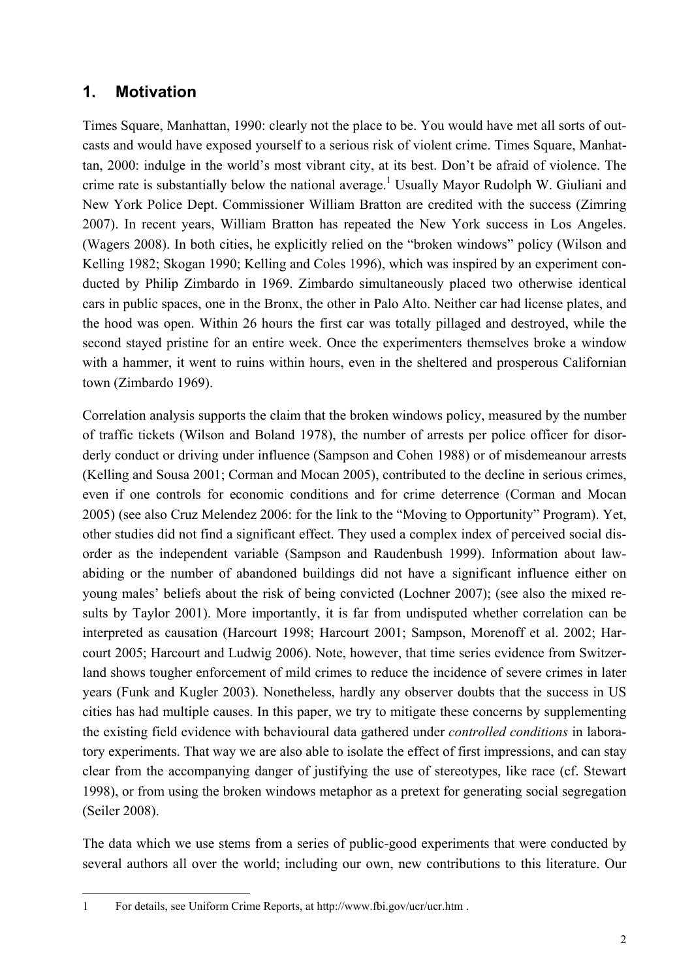# **1. Motivation**

Times Square, Manhattan, 1990: clearly not the place to be. You would have met all sorts of outcasts and would have exposed yourself to a serious risk of violent crime. Times Square, Manhattan, 2000: indulge in the world's most vibrant city, at its best. Don't be afraid of violence. The crime rate is substantially below the national average.<sup>1</sup> Usually Mayor Rudolph W. Giuliani and New York Police Dept. Commissioner William Bratton are credited with the success (Zimring 2007). In recent years, William Bratton has repeated the New York success in Los Angeles. (Wagers 2008). In both cities, he explicitly relied on the "broken windows" policy (Wilson and Kelling 1982; Skogan 1990; Kelling and Coles 1996), which was inspired by an experiment conducted by Philip Zimbardo in 1969. Zimbardo simultaneously placed two otherwise identical cars in public spaces, one in the Bronx, the other in Palo Alto. Neither car had license plates, and the hood was open. Within 26 hours the first car was totally pillaged and destroyed, while the second stayed pristine for an entire week. Once the experimenters themselves broke a window with a hammer, it went to ruins within hours, even in the sheltered and prosperous Californian town (Zimbardo 1969).

Correlation analysis supports the claim that the broken windows policy, measured by the number of traffic tickets (Wilson and Boland 1978), the number of arrests per police officer for disorderly conduct or driving under influence (Sampson and Cohen 1988) or of misdemeanour arrests (Kelling and Sousa 2001; Corman and Mocan 2005), contributed to the decline in serious crimes, even if one controls for economic conditions and for crime deterrence (Corman and Mocan 2005) (see also Cruz Melendez 2006: for the link to the "Moving to Opportunity" Program). Yet, other studies did not find a significant effect. They used a complex index of perceived social disorder as the independent variable (Sampson and Raudenbush 1999). Information about lawabiding or the number of abandoned buildings did not have a significant influence either on young males' beliefs about the risk of being convicted (Lochner 2007); (see also the mixed results by Taylor 2001). More importantly, it is far from undisputed whether correlation can be interpreted as causation (Harcourt 1998; Harcourt 2001; Sampson, Morenoff et al. 2002; Harcourt 2005; Harcourt and Ludwig 2006). Note, however, that time series evidence from Switzerland shows tougher enforcement of mild crimes to reduce the incidence of severe crimes in later years (Funk and Kugler 2003). Nonetheless, hardly any observer doubts that the success in US cities has had multiple causes. In this paper, we try to mitigate these concerns by supplementing the existing field evidence with behavioural data gathered under *controlled conditions* in laboratory experiments. That way we are also able to isolate the effect of first impressions, and can stay clear from the accompanying danger of justifying the use of stereotypes, like race (cf. Stewart 1998), or from using the broken windows metaphor as a pretext for generating social segregation (Seiler 2008).

The data which we use stems from a series of public-good experiments that were conducted by several authors all over the world; including our own, new contributions to this literature. Our

j 1 For details, see Uniform Crime Reports, at http://www.fbi.gov/ucr/ucr.htm .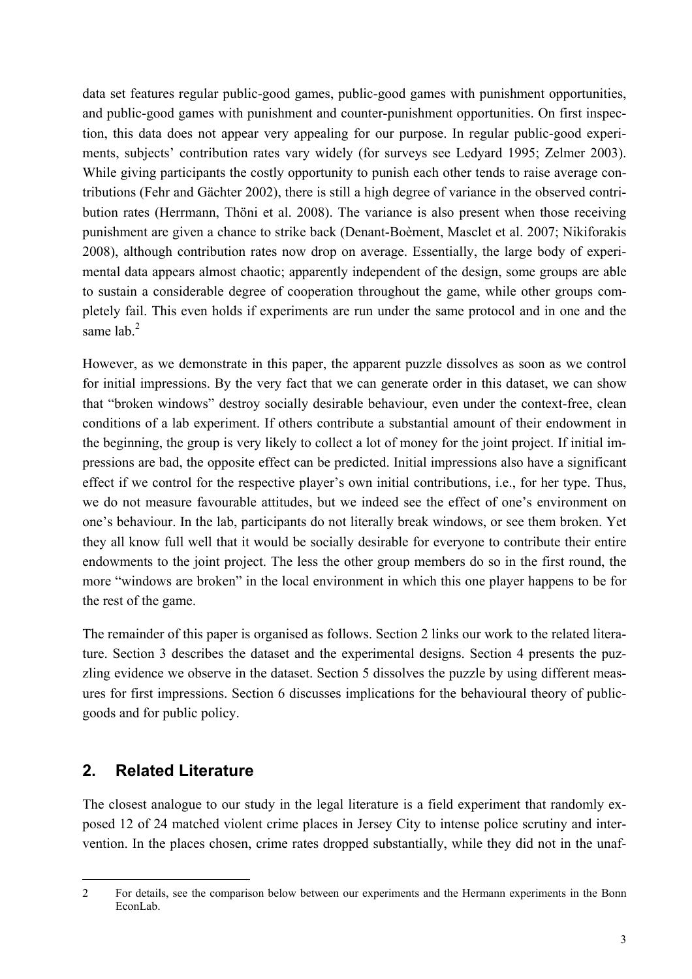data set features regular public-good games, public-good games with punishment opportunities, and public-good games with punishment and counter-punishment opportunities. On first inspection, this data does not appear very appealing for our purpose. In regular public-good experiments, subjects' contribution rates vary widely (for surveys see Ledyard 1995; Zelmer 2003). While giving participants the costly opportunity to punish each other tends to raise average contributions (Fehr and Gächter 2002), there is still a high degree of variance in the observed contribution rates (Herrmann, Thöni et al. 2008). The variance is also present when those receiving punishment are given a chance to strike back (Denant-Boèment, Masclet et al. 2007; Nikiforakis 2008), although contribution rates now drop on average. Essentially, the large body of experimental data appears almost chaotic; apparently independent of the design, some groups are able to sustain a considerable degree of cooperation throughout the game, while other groups completely fail. This even holds if experiments are run under the same protocol and in one and the same  $lab.<sup>2</sup>$ 

However, as we demonstrate in this paper, the apparent puzzle dissolves as soon as we control for initial impressions. By the very fact that we can generate order in this dataset, we can show that "broken windows" destroy socially desirable behaviour, even under the context-free, clean conditions of a lab experiment. If others contribute a substantial amount of their endowment in the beginning, the group is very likely to collect a lot of money for the joint project. If initial impressions are bad, the opposite effect can be predicted. Initial impressions also have a significant effect if we control for the respective player's own initial contributions, i.e., for her type. Thus, we do not measure favourable attitudes, but we indeed see the effect of one's environment on one's behaviour. In the lab, participants do not literally break windows, or see them broken. Yet they all know full well that it would be socially desirable for everyone to contribute their entire endowments to the joint project. The less the other group members do so in the first round, the more "windows are broken" in the local environment in which this one player happens to be for the rest of the game.

The remainder of this paper is organised as follows. Section 2 links our work to the related literature. Section 3 describes the dataset and the experimental designs. Section 4 presents the puzzling evidence we observe in the dataset. Section 5 dissolves the puzzle by using different measures for first impressions. Section 6 discusses implications for the behavioural theory of publicgoods and for public policy.

# **2. Related Literature**

The closest analogue to our study in the legal literature is a field experiment that randomly exposed 12 of 24 matched violent crime places in Jersey City to intense police scrutiny and intervention. In the places chosen, crime rates dropped substantially, while they did not in the unaf-

 $\overline{a}$ 2 For details, see the comparison below between our experiments and the Hermann experiments in the Bonn EconLab.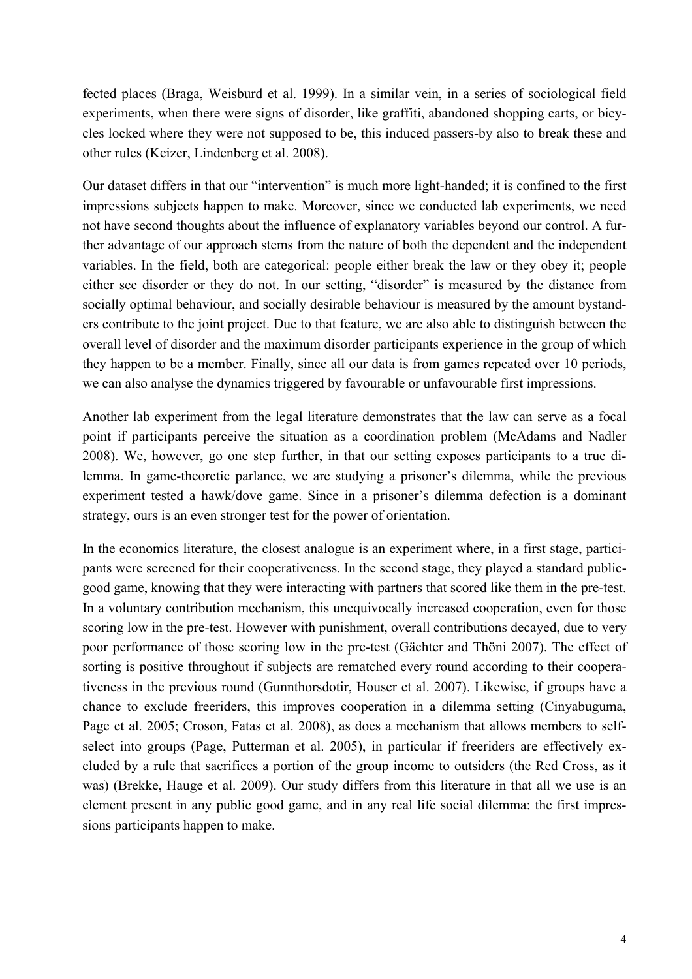fected places (Braga, Weisburd et al. 1999). In a similar vein, in a series of sociological field experiments, when there were signs of disorder, like graffiti, abandoned shopping carts, or bicycles locked where they were not supposed to be, this induced passers-by also to break these and other rules (Keizer, Lindenberg et al. 2008).

Our dataset differs in that our "intervention" is much more light-handed; it is confined to the first impressions subjects happen to make. Moreover, since we conducted lab experiments, we need not have second thoughts about the influence of explanatory variables beyond our control. A further advantage of our approach stems from the nature of both the dependent and the independent variables. In the field, both are categorical: people either break the law or they obey it; people either see disorder or they do not. In our setting, "disorder" is measured by the distance from socially optimal behaviour, and socially desirable behaviour is measured by the amount bystanders contribute to the joint project. Due to that feature, we are also able to distinguish between the overall level of disorder and the maximum disorder participants experience in the group of which they happen to be a member. Finally, since all our data is from games repeated over 10 periods, we can also analyse the dynamics triggered by favourable or unfavourable first impressions.

Another lab experiment from the legal literature demonstrates that the law can serve as a focal point if participants perceive the situation as a coordination problem (McAdams and Nadler 2008). We, however, go one step further, in that our setting exposes participants to a true dilemma. In game-theoretic parlance, we are studying a prisoner's dilemma, while the previous experiment tested a hawk/dove game. Since in a prisoner's dilemma defection is a dominant strategy, ours is an even stronger test for the power of orientation.

In the economics literature, the closest analogue is an experiment where, in a first stage, participants were screened for their cooperativeness. In the second stage, they played a standard publicgood game, knowing that they were interacting with partners that scored like them in the pre-test. In a voluntary contribution mechanism, this unequivocally increased cooperation, even for those scoring low in the pre-test. However with punishment, overall contributions decayed, due to very poor performance of those scoring low in the pre-test (Gächter and Thöni 2007). The effect of sorting is positive throughout if subjects are rematched every round according to their cooperativeness in the previous round (Gunnthorsdotir, Houser et al. 2007). Likewise, if groups have a chance to exclude freeriders, this improves cooperation in a dilemma setting (Cinyabuguma, Page et al. 2005; Croson, Fatas et al. 2008), as does a mechanism that allows members to selfselect into groups (Page, Putterman et al. 2005), in particular if freeriders are effectively excluded by a rule that sacrifices a portion of the group income to outsiders (the Red Cross, as it was) (Brekke, Hauge et al. 2009). Our study differs from this literature in that all we use is an element present in any public good game, and in any real life social dilemma: the first impressions participants happen to make.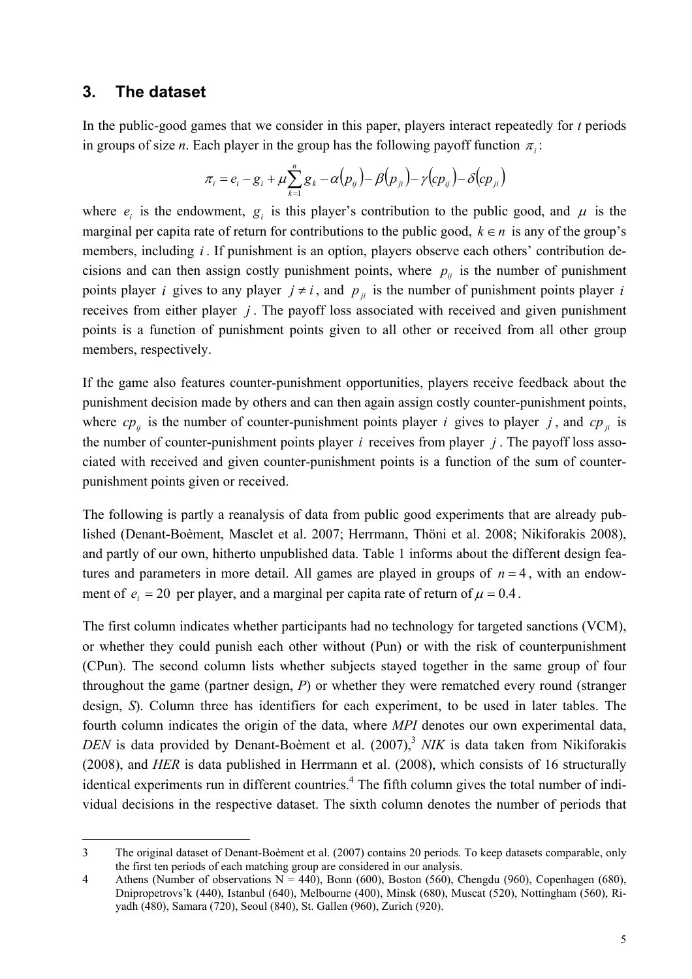# **3. The dataset**

 $\overline{a}$ 

In the public-good games that we consider in this paper, players interact repeatedly for *t* periods in groups of size *n*. Each player in the group has the following payoff function  $\pi$ .

$$
\pi_i = e_i - g_i + \mu \sum_{k=1}^n g_k - \alpha(p_{ij}) - \beta(p_{ji}) - \gamma(c p_{ij}) - \delta(c p_{ji})
$$

where  $e_i$  is the endowment,  $g_i$  is this player's contribution to the public good, and  $\mu$  is the marginal per capita rate of return for contributions to the public good,  $k \in n$  is any of the group's members, including *i*. If punishment is an option, players observe each others' contribution decisions and can then assign costly punishment points, where  $p_{ij}$  is the number of punishment points player *i* gives to any player  $j \neq i$ , and  $p_{ij}$  is the number of punishment points player *i* receives from either player *j* . The payoff loss associated with received and given punishment points is a function of punishment points given to all other or received from all other group members, respectively.

If the game also features counter-punishment opportunities, players receive feedback about the punishment decision made by others and can then again assign costly counter-punishment points, where  $cp_{ij}$  is the number of counter-punishment points player *i* gives to player *j*, and  $cp_{ji}$  is the number of counter-punishment points player *i* receives from player *j* . The payoff loss associated with received and given counter-punishment points is a function of the sum of counterpunishment points given or received.

The following is partly a reanalysis of data from public good experiments that are already published (Denant-Boèment, Masclet et al. 2007; Herrmann, Thöni et al. 2008; Nikiforakis 2008), and partly of our own, hitherto unpublished data. Table 1 informs about the different design features and parameters in more detail. All games are played in groups of  $n = 4$ , with an endowment of  $e_i = 20$  per player, and a marginal per capita rate of return of  $\mu = 0.4$ .

The first column indicates whether participants had no technology for targeted sanctions (VCM), or whether they could punish each other without (Pun) or with the risk of counterpunishment (CPun). The second column lists whether subjects stayed together in the same group of four throughout the game (partner design, *P*) or whether they were rematched every round (stranger design, *S*). Column three has identifiers for each experiment, to be used in later tables. The fourth column indicates the origin of the data, where *MPI* denotes our own experimental data, *DEN* is data provided by Denant-Boèment et al. (2007),<sup>3</sup> *NIK* is data taken from Nikiforakis (2008), and *HER* is data published in Herrmann et al. (2008), which consists of 16 structurally identical experiments run in different countries.<sup>4</sup> The fifth column gives the total number of individual decisions in the respective dataset. The sixth column denotes the number of periods that

<sup>3</sup> The original dataset of Denant-Boèment et al. (2007) contains 20 periods. To keep datasets comparable, only the first ten periods of each matching group are considered in our analysis.

<sup>4</sup> Athens (Number of observations  $N = 440$ ), Bonn (600), Boston (560), Chengdu (960), Copenhagen (680), Dnipropetrovs'k (440), Istanbul (640), Melbourne (400), Minsk (680), Muscat (520), Nottingham (560), Riyadh (480), Samara (720), Seoul (840), St. Gallen (960), Zurich (920).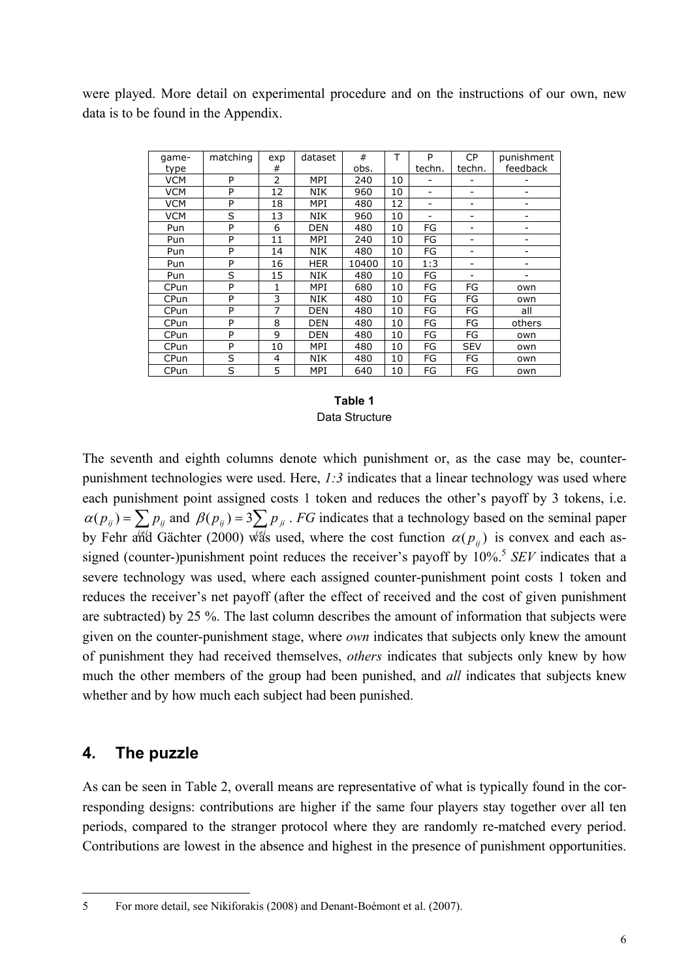were played. More detail on experimental procedure and on the instructions of our own, new data is to be found in the Appendix.

| game-      | matching | exp            | dataset    | #     | т  | P      | <b>CP</b>                | punishment |
|------------|----------|----------------|------------|-------|----|--------|--------------------------|------------|
| type       |          | #              |            | obs.  |    | techn. | techn.                   | feedback   |
| <b>VCM</b> | P        | $\overline{2}$ | <b>MPI</b> | 240   | 10 |        |                          |            |
| <b>VCM</b> | P        | 12             | NIK        | 960   | 10 | ۰      | $\overline{\phantom{0}}$ |            |
| <b>VCM</b> | P        | 18             | MPI        | 480   | 12 | ۰      |                          |            |
| <b>VCM</b> | S        | 13             | <b>NIK</b> | 960   | 10 | ۰      |                          |            |
| Pun        | P        | 6              | <b>DEN</b> | 480   | 10 | FG     |                          |            |
| Pun        | P        | 11             | MPI        | 240   | 10 | FG     |                          |            |
| Pun        | P        | 14             | <b>NIK</b> | 480   | 10 | FG     |                          |            |
| Pun        | P        | 16             | <b>HER</b> | 10400 | 10 | 1:3    |                          |            |
| Pun        | S        | 15             | <b>NIK</b> | 480   | 10 | FG     |                          |            |
| CPun       | P        | 1              | MPI        | 680   | 10 | FG     | FG                       | own        |
| CPun       | P        | 3              | NIK        | 480   | 10 | FG     | FG                       | own        |
| CPun       | P        | 7              | <b>DEN</b> | 480   | 10 | FG     | FG                       | all        |
| CPun       | P        | 8              | <b>DEN</b> | 480   | 10 | FG     | FG                       | others     |
| CPun       | P        | 9              | DEN        | 480   | 10 | FG     | FG                       | own        |
| CPun       | P        | 10             | MPI        | 480   | 10 | FG     | <b>SEV</b>               | own        |
| CPun       | S        | 4              | <b>NIK</b> | 480   | 10 | FG     | FG                       | own        |
| CPun       | S        | 5              | MPI        | 640   | 10 | FG     | FG                       | own        |

#### **Table 1**  Data Structure

The seventh and eighth columns denote which punishment or, as the case may be, counterpunishment technologies were used. Here, *1:3* indicates that a linear technology was used where each punishment point assigned costs 1 token and reduces the other's payoff by 3 tokens, i.e.  $\alpha(p_{ij}) = \sum p_{ij}$  and  $\beta(p_{ij}) = 3 \sum j_{ji} P_{ji}$ . *FG* indicates that a technology based on the seminal paper by Fehr and Gächter (2000) was used, where the cost function  $\alpha(p_{ij})$  is convex and each assigned (counter-)punishment point reduces the receiver's payoff by 10%.<sup>5</sup> *SEV* indicates that a severe technology was used, where each assigned counter-punishment point costs 1 token and reduces the receiver's net payoff (after the effect of received and the cost of given punishment are subtracted) by 25 %. The last column describes the amount of information that subjects were given on the counter-punishment stage, where *own* indicates that subjects only knew the amount of punishment they had received themselves, *others* indicates that subjects only knew by how much the other members of the group had been punished, and *all* indicates that subjects knew whether and by how much each subject had been punished.

# **4. The puzzle**

As can be seen in Table 2, overall means are representative of what is typically found in the corresponding designs: contributions are higher if the same four players stay together over all ten periods, compared to the stranger protocol where they are randomly re-matched every period. Contributions are lowest in the absence and highest in the presence of punishment opportunities.

j 5 For more detail, see Nikiforakis (2008) and Denant-Boèmont et al. (2007).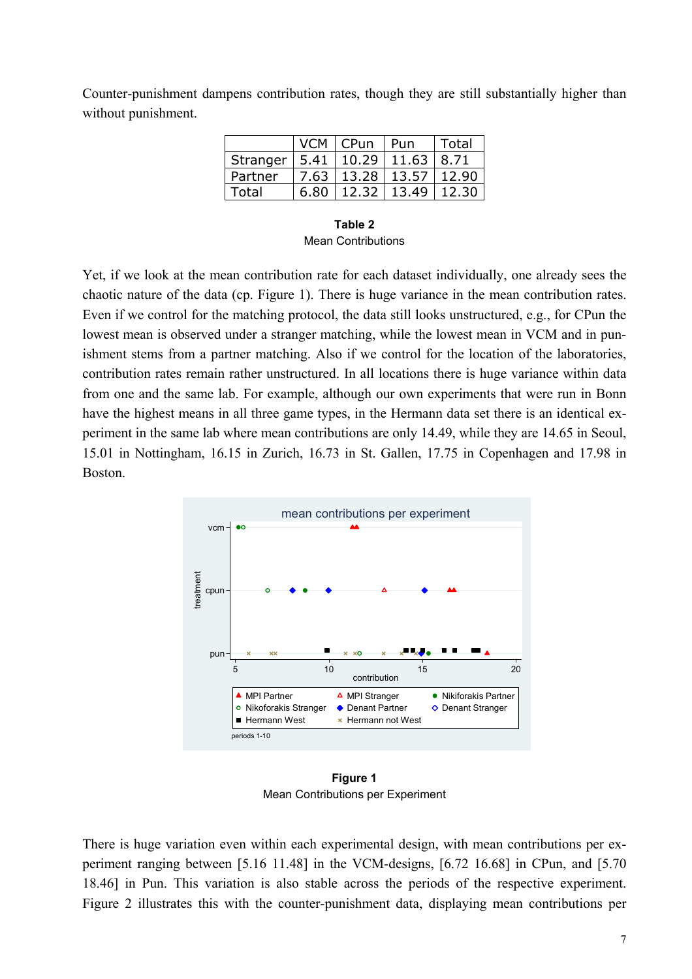Counter-punishment dampens contribution rates, though they are still substantially higher than without punishment.

|                                        |      | VCM   CPun                   | Pun             | <b>Total</b> |
|----------------------------------------|------|------------------------------|-----------------|--------------|
| Stranger   5.41   10.29   11.63   8.71 |      |                              |                 |              |
| Partner                                |      | 7.63   13.28   13.57   12.90 |                 |              |
| Total                                  | 6.80 |                              | $12.32$   13.49 | 12.30        |

**Table 2**  Mean Contributions

Yet, if we look at the mean contribution rate for each dataset individually, one already sees the chaotic nature of the data (cp. Figure 1). There is huge variance in the mean contribution rates. Even if we control for the matching protocol, the data still looks unstructured, e.g., for CPun the lowest mean is observed under a stranger matching, while the lowest mean in VCM and in punishment stems from a partner matching. Also if we control for the location of the laboratories, contribution rates remain rather unstructured. In all locations there is huge variance within data from one and the same lab. For example, although our own experiments that were run in Bonn have the highest means in all three game types, in the Hermann data set there is an identical experiment in the same lab where mean contributions are only 14.49, while they are 14.65 in Seoul, 15.01 in Nottingham, 16.15 in Zurich, 16.73 in St. Gallen, 17.75 in Copenhagen and 17.98 in Boston.



**Figure 1**  Mean Contributions per Experiment

There is huge variation even within each experimental design, with mean contributions per experiment ranging between [5.16 11.48] in the VCM-designs, [6.72 16.68] in CPun, and [5.70 18.46] in Pun. This variation is also stable across the periods of the respective experiment. Figure 2 illustrates this with the counter-punishment data, displaying mean contributions per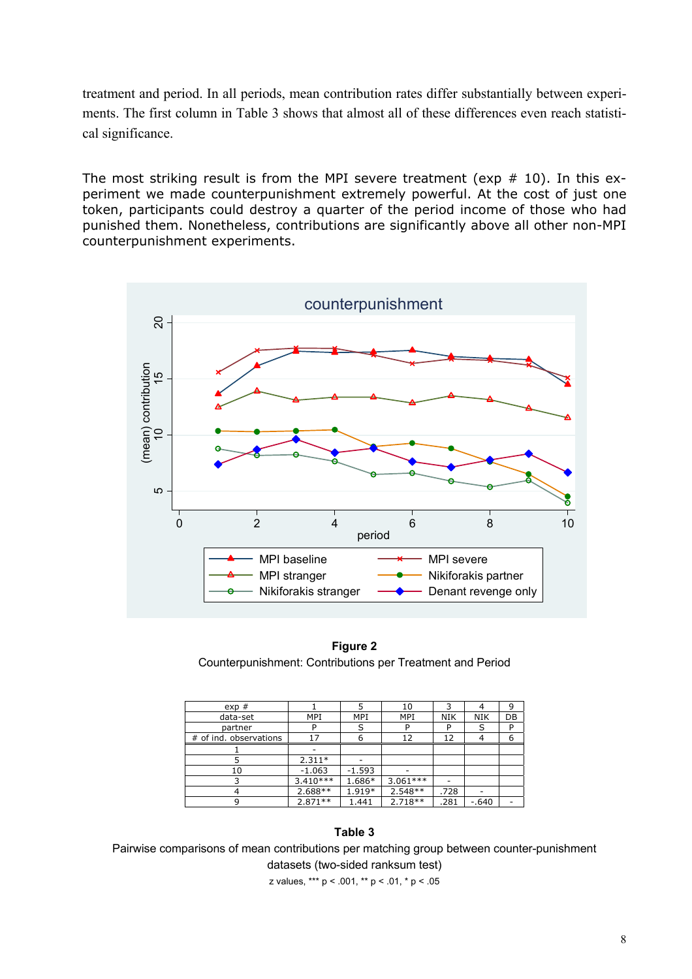treatment and period. In all periods, mean contribution rates differ substantially between experiments. The first column in Table 3 shows that almost all of these differences even reach statistical significance.

The most striking result is from the MPI severe treatment (exp  $# 10$ ). In this experiment we made counterpunishment extremely powerful. At the cost of just one token, participants could destroy a quarter of the period income of those who had punished them. Nonetheless, contributions are significantly above all other non-MPI counterpunishment experiments.



**Figure 2**  Counterpunishment: Contributions per Treatment and Period

| exp#                   |            | 5          | 10         | 3          |            | 9  |
|------------------------|------------|------------|------------|------------|------------|----|
| data-set               | MPI        | <b>MPI</b> | MPI        | <b>NIK</b> | <b>NIK</b> | DB |
| partner                | P          | S          | D          | P          | S          | P  |
| # of ind. observations | 17         | 6          | 12         | 12         |            | 6  |
|                        |            |            |            |            |            |    |
|                        | $2.311*$   |            |            |            |            |    |
| 10                     | $-1.063$   | $-1.593$   |            |            |            |    |
|                        | $3.410***$ | 1.686*     | $3.061***$ |            |            |    |
|                        | $2.688**$  | 1.919*     | $2.548**$  | .728       |            |    |
| 9                      | $2.871**$  | 1.441      | $2.718**$  | .281       | $-.640$    |    |

#### **Table 3**

Pairwise comparisons of mean contributions per matching group between counter-punishment datasets (two-sided ranksum test)

z values, \*\*\* p < .001, \*\* p < .01, \* p < .05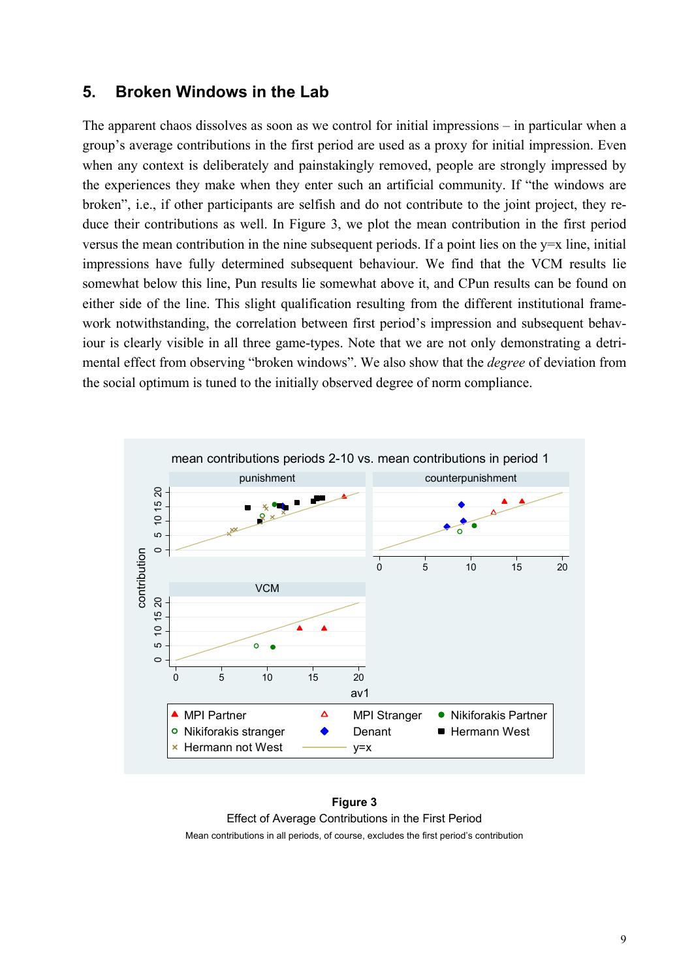## **5. Broken Windows in the Lab**

The apparent chaos dissolves as soon as we control for initial impressions – in particular when a group's average contributions in the first period are used as a proxy for initial impression. Even when any context is deliberately and painstakingly removed, people are strongly impressed by the experiences they make when they enter such an artificial community. If "the windows are broken", i.e., if other participants are selfish and do not contribute to the joint project, they reduce their contributions as well. In Figure 3, we plot the mean contribution in the first period versus the mean contribution in the nine subsequent periods. If a point lies on the y=x line, initial impressions have fully determined subsequent behaviour. We find that the VCM results lie somewhat below this line, Pun results lie somewhat above it, and CPun results can be found on either side of the line. This slight qualification resulting from the different institutional framework notwithstanding, the correlation between first period's impression and subsequent behaviour is clearly visible in all three game-types. Note that we are not only demonstrating a detrimental effect from observing "broken windows". We also show that the *degree* of deviation from the social optimum is tuned to the initially observed degree of norm compliance.



**Figure 3**  Effect of Average Contributions in the First Period Mean contributions in all periods, of course, excludes the first period's contribution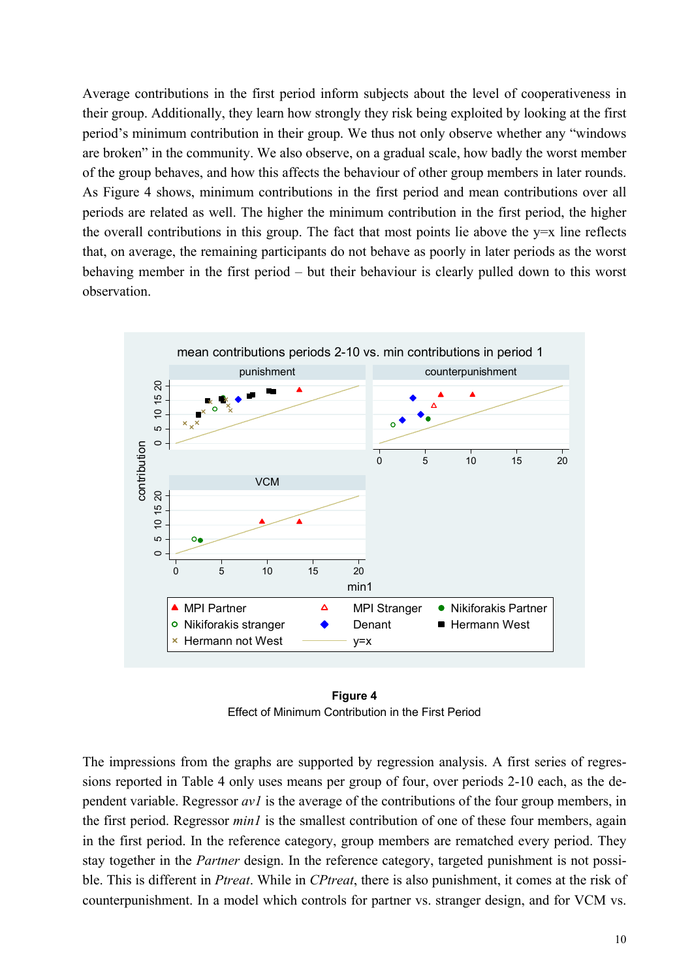Average contributions in the first period inform subjects about the level of cooperativeness in their group. Additionally, they learn how strongly they risk being exploited by looking at the first period's minimum contribution in their group. We thus not only observe whether any "windows are broken" in the community. We also observe, on a gradual scale, how badly the worst member of the group behaves, and how this affects the behaviour of other group members in later rounds. As Figure 4 shows, minimum contributions in the first period and mean contributions over all periods are related as well. The higher the minimum contribution in the first period, the higher the overall contributions in this group. The fact that most points lie above the  $y=x$  line reflects that, on average, the remaining participants do not behave as poorly in later periods as the worst behaving member in the first period – but their behaviour is clearly pulled down to this worst observation.



**Figure 4**  Effect of Minimum Contribution in the First Period

The impressions from the graphs are supported by regression analysis. A first series of regressions reported in Table 4 only uses means per group of four, over periods 2-10 each, as the dependent variable. Regressor *av1* is the average of the contributions of the four group members, in the first period. Regressor *min1* is the smallest contribution of one of these four members, again in the first period. In the reference category, group members are rematched every period. They stay together in the *Partner* design. In the reference category, targeted punishment is not possible. This is different in *Ptreat*. While in *CPtreat*, there is also punishment, it comes at the risk of counterpunishment. In a model which controls for partner vs. stranger design, and for VCM vs.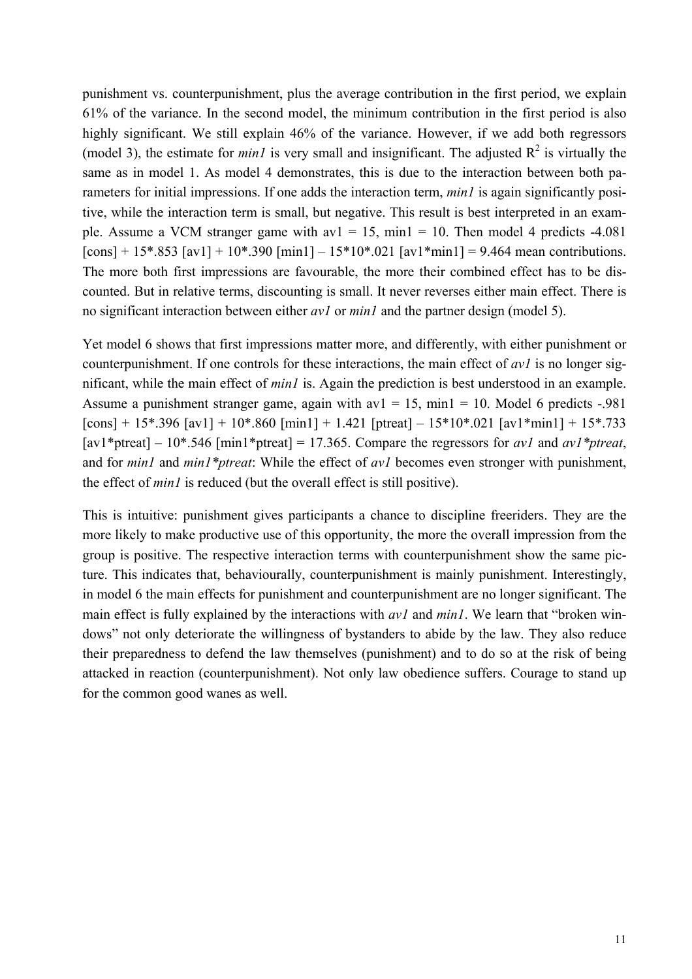punishment vs. counterpunishment, plus the average contribution in the first period, we explain 61% of the variance. In the second model, the minimum contribution in the first period is also highly significant. We still explain 46% of the variance. However, if we add both regressors (model 3), the estimate for *min1* is very small and insignificant. The adjusted  $R^2$  is virtually the same as in model 1. As model 4 demonstrates, this is due to the interaction between both parameters for initial impressions. If one adds the interaction term, *minl* is again significantly positive, while the interaction term is small, but negative. This result is best interpreted in an example. Assume a VCM stranger game with  $av1 = 15$ ,  $min1 = 10$ . Then model 4 predicts -4.081  $[cons] + 15*.853 [av1] + 10*.390 [min1] - 15*10*.021 [av1*min1] = 9.464$  mean contributions. The more both first impressions are favourable, the more their combined effect has to be discounted. But in relative terms, discounting is small. It never reverses either main effect. There is no significant interaction between either *av1* or *min1* and the partner design (model 5).

Yet model 6 shows that first impressions matter more, and differently, with either punishment or counterpunishment. If one controls for these interactions, the main effect of *av1* is no longer significant, while the main effect of *min1* is. Again the prediction is best understood in an example. Assume a punishment stranger game, again with  $av1 = 15$ ,  $min1 = 10$ . Model 6 predicts -.981  $\lceil \text{cons} \rceil + 15^* \cdot 396 \lceil \text{av1} \rceil + 10^* \cdot 860 \lceil \text{min1} \rceil + 1.421 \lceil \text{ptreat} \rceil - 15^* \cdot 10^* \cdot 021 \lceil \text{av1*min1} \rceil + 15^* \cdot 733$ [av1\*ptreat] – 10\*.546 [min1\*ptreat] = 17.365. Compare the regressors for *av1* and *av1\*ptreat*, and for *min1* and *min1\*ptreat*: While the effect of *av1* becomes even stronger with punishment, the effect of *min1* is reduced (but the overall effect is still positive).

This is intuitive: punishment gives participants a chance to discipline freeriders. They are the more likely to make productive use of this opportunity, the more the overall impression from the group is positive. The respective interaction terms with counterpunishment show the same picture. This indicates that, behaviourally, counterpunishment is mainly punishment. Interestingly, in model 6 the main effects for punishment and counterpunishment are no longer significant. The main effect is fully explained by the interactions with *av1* and *min1*. We learn that "broken windows" not only deteriorate the willingness of bystanders to abide by the law. They also reduce their preparedness to defend the law themselves (punishment) and to do so at the risk of being attacked in reaction (counterpunishment). Not only law obedience suffers. Courage to stand up for the common good wanes as well.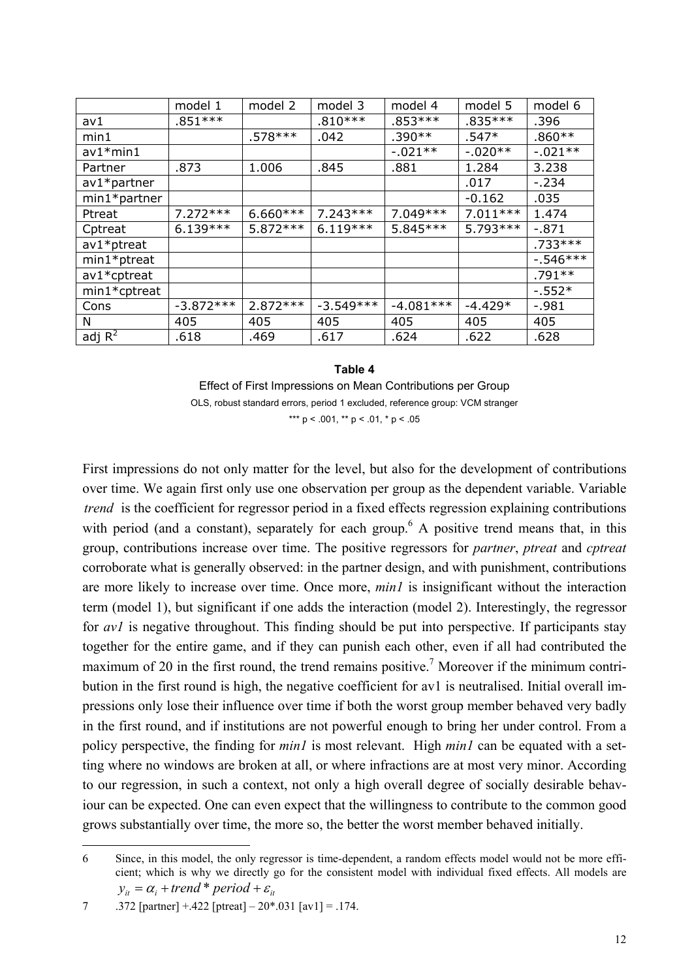|                 | model 1     | model 2    | model 3     | model 4     | model 5    | model 6     |
|-----------------|-------------|------------|-------------|-------------|------------|-------------|
| av1             | $.851***$   |            | $.810***$   | $.853***$   | $.835***$  | .396        |
| min1            |             | $.578***$  | .042        | $.390**$    | $.547*$    | $.860**$    |
| $av1*min1$      |             |            |             | $-.021**$   | $-0.020**$ | $-0.021**$  |
| Partner         | .873        | 1.006      | .845        | .881        | 1.284      | 3.238       |
| $av1*$ partner  |             |            |             |             | .017       | $-234$      |
| $min1*$ partner |             |            |             |             | $-0.162$   | .035        |
| Ptreat          | $7.272***$  | $6.660***$ | $7.243***$  | 7.049 ***   | $7.011***$ | 1.474       |
| Cptreat         | $6.139***$  | $5.872***$ | $6.119***$  | 5.845 ***   | $5.793***$ | $-.871$     |
| $av1*$ ptreat   |             |            |             |             |            | $.733***$   |
| min1*ptreat     |             |            |             |             |            | $-0.546***$ |
| av1*cptreat     |             |            |             |             |            | $.791**$    |
| min1*cptreat    |             |            |             |             |            | $-.552*$    |
| Cons            | $-3.872***$ | $2.872***$ | $-3.549***$ | $-4.081***$ | $-4.429*$  | $-.981$     |
| N               | 405         | 405        | 405         | 405         | 405        | 405         |
| adj $R^2$       | .618        | .469       | .617        | .624        | .622       | .628        |

**Table 4**  Effect of First Impressions on Mean Contributions per Group OLS, robust standard errors, period 1 excluded, reference group: VCM stranger \*\*\*  $p < .001$ , \*\*  $p < .01$ , \*  $p < .05$ 

First impressions do not only matter for the level, but also for the development of contributions over time. We again first only use one observation per group as the dependent variable. Variable *trend* is the coefficient for regressor period in a fixed effects regression explaining contributions with period (and a constant), separately for each group.<sup>6</sup> A positive trend means that, in this group, contributions increase over time. The positive regressors for *partner*, *ptreat* and *cptreat* corroborate what is generally observed: in the partner design, and with punishment, contributions are more likely to increase over time. Once more, *min1* is insignificant without the interaction term (model 1), but significant if one adds the interaction (model 2). Interestingly, the regressor for *av1* is negative throughout. This finding should be put into perspective. If participants stay together for the entire game, and if they can punish each other, even if all had contributed the maximum of 20 in the first round, the trend remains positive.<sup>7</sup> Moreover if the minimum contribution in the first round is high, the negative coefficient for av1 is neutralised. Initial overall impressions only lose their influence over time if both the worst group member behaved very badly in the first round, and if institutions are not powerful enough to bring her under control. From a policy perspective, the finding for *min1* is most relevant. High *min1* can be equated with a setting where no windows are broken at all, or where infractions are at most very minor. According to our regression, in such a context, not only a high overall degree of socially desirable behaviour can be expected. One can even expect that the willingness to contribute to the common good grows substantially over time, the more so, the better the worst member behaved initially.

-

<sup>6</sup> Since, in this model, the only regressor is time-dependent, a random effects model would not be more efficient; which is why we directly go for the consistent model with individual fixed effects. All models are  $y_{it} = \alpha_i + \text{trend} * \text{period} + \varepsilon_{it}$ 

<sup>7 .372 [</sup>partner]  $+ .422$  [ptreat]  $- 20^* .031$  [av1] = .174.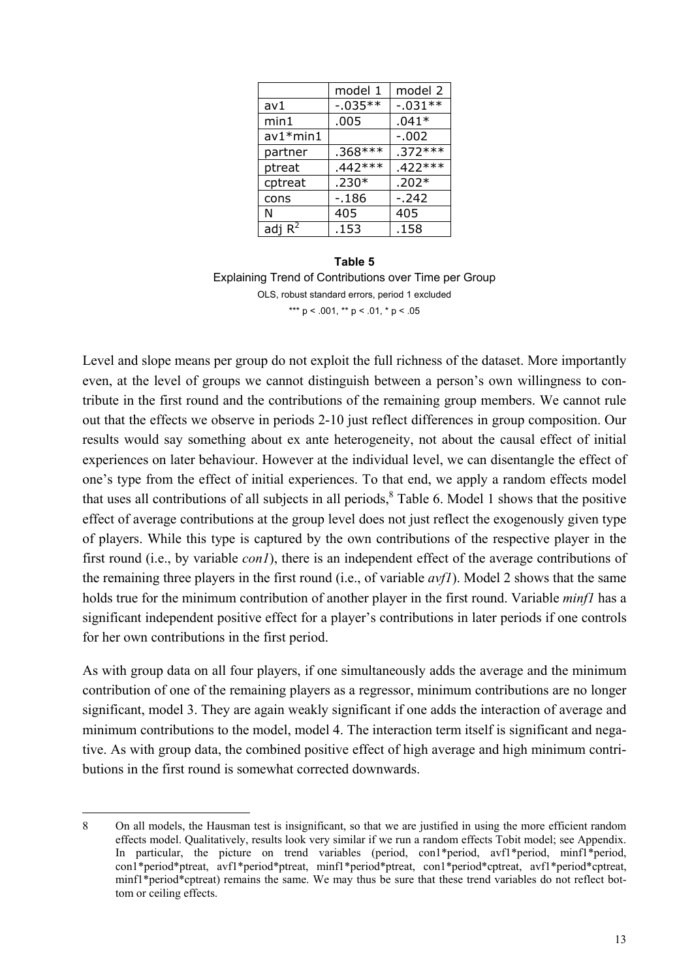|            | model 1    | model 2   |
|------------|------------|-----------|
| av1        | $-0.035**$ | $-.031**$ |
| min1       | .005       | $.041*$   |
| $av1*min1$ |            | $-.002$   |
| partner    | $.368***$  | $.372***$ |
| ptreat     | $.442***$  | $.422***$ |
| cptreat    | $.230*$    | $.202*$   |
| cons       | $-.186$    | $-.242$   |
| N          | 405        | 405       |
| adj $R^2$  | .153       | .158      |

#### **Table 5**  Explaining Trend of Contributions over Time per Group OLS, robust standard errors, period 1 excluded \*\*\*  $p < .001$ , \*\*  $p < .01$ , \*  $p < .05$

Level and slope means per group do not exploit the full richness of the dataset. More importantly even, at the level of groups we cannot distinguish between a person's own willingness to contribute in the first round and the contributions of the remaining group members. We cannot rule out that the effects we observe in periods 2-10 just reflect differences in group composition. Our results would say something about ex ante heterogeneity, not about the causal effect of initial experiences on later behaviour. However at the individual level, we can disentangle the effect of one's type from the effect of initial experiences. To that end, we apply a random effects model that uses all contributions of all subjects in all periods,  $8$  Table 6. Model 1 shows that the positive effect of average contributions at the group level does not just reflect the exogenously given type of players. While this type is captured by the own contributions of the respective player in the first round (i.e., by variable *con1*), there is an independent effect of the average contributions of the remaining three players in the first round (i.e., of variable *avf1*). Model 2 shows that the same holds true for the minimum contribution of another player in the first round. Variable *minf1* has a significant independent positive effect for a player's contributions in later periods if one controls for her own contributions in the first period.

As with group data on all four players, if one simultaneously adds the average and the minimum contribution of one of the remaining players as a regressor, minimum contributions are no longer significant, model 3. They are again weakly significant if one adds the interaction of average and minimum contributions to the model, model 4. The interaction term itself is significant and negative. As with group data, the combined positive effect of high average and high minimum contributions in the first round is somewhat corrected downwards.

j

<sup>8</sup> On all models, the Hausman test is insignificant, so that we are justified in using the more efficient random effects model. Qualitatively, results look very similar if we run a random effects Tobit model; see Appendix. In particular, the picture on trend variables (period, con1\*period, avf1\*period, minf1\*period, con1\*period\*ptreat, avf1\*period\*ptreat, minf1\*period\*ptreat, con1\*period\*cptreat, avf1\*period\*cptreat, minf1\*period\*cptreat) remains the same. We may thus be sure that these trend variables do not reflect bottom or ceiling effects.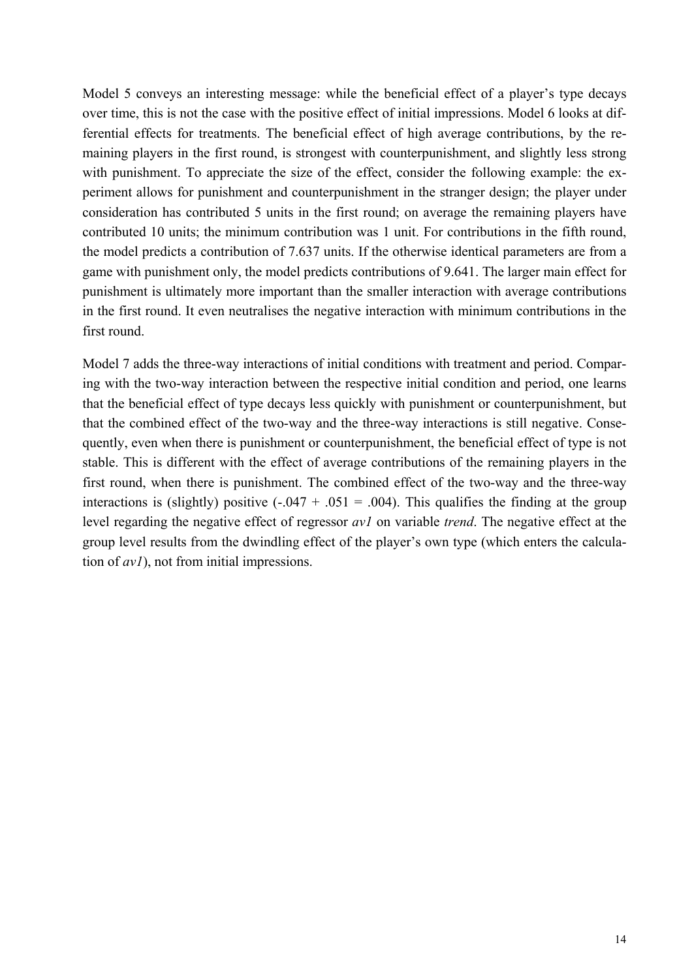Model 5 conveys an interesting message: while the beneficial effect of a player's type decays over time, this is not the case with the positive effect of initial impressions. Model 6 looks at differential effects for treatments. The beneficial effect of high average contributions, by the remaining players in the first round, is strongest with counterpunishment, and slightly less strong with punishment. To appreciate the size of the effect, consider the following example: the experiment allows for punishment and counterpunishment in the stranger design; the player under consideration has contributed 5 units in the first round; on average the remaining players have contributed 10 units; the minimum contribution was 1 unit. For contributions in the fifth round, the model predicts a contribution of 7.637 units. If the otherwise identical parameters are from a game with punishment only, the model predicts contributions of 9.641. The larger main effect for punishment is ultimately more important than the smaller interaction with average contributions in the first round. It even neutralises the negative interaction with minimum contributions in the first round.

Model 7 adds the three-way interactions of initial conditions with treatment and period. Comparing with the two-way interaction between the respective initial condition and period, one learns that the beneficial effect of type decays less quickly with punishment or counterpunishment, but that the combined effect of the two-way and the three-way interactions is still negative. Consequently, even when there is punishment or counterpunishment, the beneficial effect of type is not stable. This is different with the effect of average contributions of the remaining players in the first round, when there is punishment. The combined effect of the two-way and the three-way interactions is (slightly) positive  $(-.047 + .051 = .004)$ . This qualifies the finding at the group level regarding the negative effect of regressor *av1* on variable *trend*. The negative effect at the group level results from the dwindling effect of the player's own type (which enters the calculation of *av1*), not from initial impressions.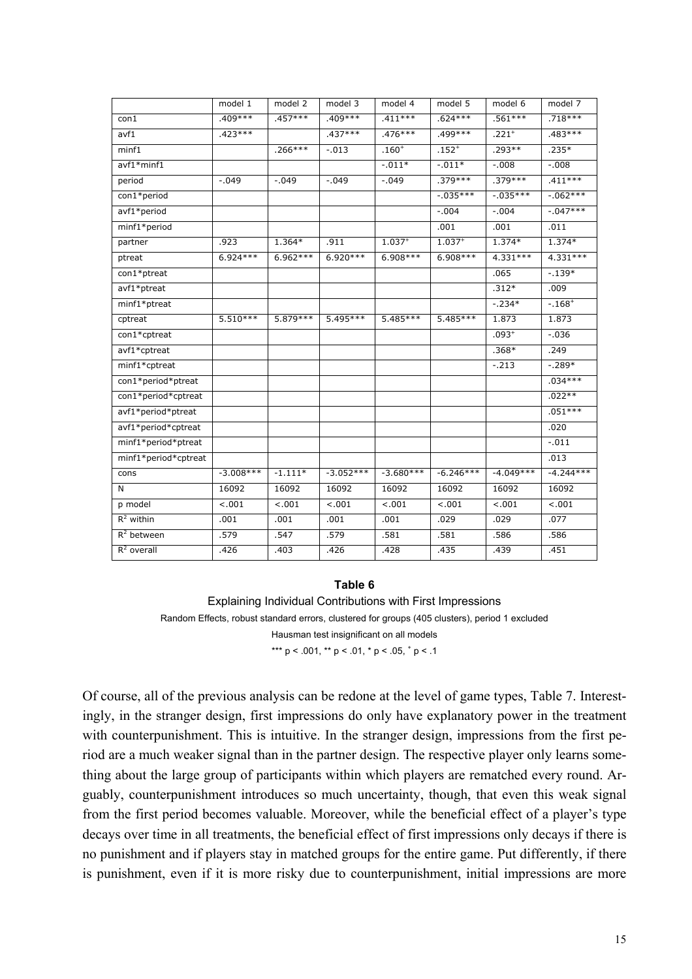|                      | model 1     | model 2   | model 3     | model 4     | model 5     | model 6     | model 7     |
|----------------------|-------------|-----------|-------------|-------------|-------------|-------------|-------------|
| con1                 | $.409***$   | $.457***$ | $.409***$   | $.411***$   | $.624***$   | $.561***$   | $.718***$   |
| avf1                 | $.423***$   |           | $.437***$   | $.476***$   | .499***     | $.221+$     | .483***     |
| minf1                |             | $.266***$ | $-.013$     | $.160+$     | $.152^{+}$  | .293**      | $.235*$     |
| avf1*minf1           |             |           |             | $-.011*$    | $-.011*$    | $-.008$     | $-0.008$    |
| period               | $-.049$     | $-.049$   | $-.049$     | $-.049$     | $.379***$   | $.379***$   | $.411***$   |
| con1*period          |             |           |             |             | $-.035***$  | $-.035***$  | $-.062***$  |
| avf1*period          |             |           |             |             | $-.004$     | $-.004$     | $-.047***$  |
| minf1*period         |             |           |             |             | .001        | .001        | .011        |
| partner              | .923        | 1.364*    | .911        | $1.037^{+}$ | $1.037^{+}$ | 1.374*      | $1.374*$    |
| ptreat               | $6.924***$  | 6.962***  | 6.920 ***   | 6.908***    | 6.908***    | 4.331 ***   | 4.331 ***   |
| con1*ptreat          |             |           |             |             |             | .065        | $-.139*$    |
| avf1*ptreat          |             |           |             |             |             | $.312*$     | .009        |
| minf1*ptreat         |             |           |             |             |             | $-.234*$    | $-0.168 +$  |
| cptreat              | $5.510***$  | 5.879 *** | 5.495 ***   | 5.485 ***   | 5.485***    | 1.873       | 1.873       |
| con1*cptreat         |             |           |             |             |             | $.093^{+}$  | $-.036$     |
| avf1*cptreat         |             |           |             |             |             | $.368*$     | .249        |
| minf1*cptreat        |             |           |             |             |             | $-.213$     | $-.289*$    |
| con1*period*ptreat   |             |           |             |             |             |             | $.034***$   |
| con1*period*cptreat  |             |           |             |             |             |             | $.022**$    |
| avf1*period*ptreat   |             |           |             |             |             |             | $.051***$   |
| avf1*period*cptreat  |             |           |             |             |             |             | .020        |
| minf1*period*ptreat  |             |           |             |             |             |             | $-.011$     |
| minf1*period*cptreat |             |           |             |             |             |             | .013        |
| cons                 | $-3.008***$ | $-1.111*$ | $-3.052***$ | $-3.680***$ | $-6.246***$ | $-4.049***$ | $-4.244***$ |
| N                    | 16092       | 16092     | 16092       | 16092       | 16092       | 16092       | 16092       |
| p model              | $-.001$     | $-.001$   | $-.001$     | $-.001$     | < .001      | $-.001$     | $-.001$     |
| $R^2$ within         | .001        | .001      | .001        | .001        | .029        | .029        | .077        |
| $R^2$ between        | .579        | .547      | .579        | .581        | .581        | .586        | .586        |
| $R^2$ overall        | .426        | .403      | .426        | .428        | .435        | .439        | .451        |

#### **Table 6**

Explaining Individual Contributions with First Impressions Random Effects, robust standard errors, clustered for groups (405 clusters), period 1 excluded Hausman test insignificant on all models \*\*\* p < .001, \*\* p < .01, \* p < .05,  $\frac{+}{7}$  p < .1

Of course, all of the previous analysis can be redone at the level of game types, Table 7. Interestingly, in the stranger design, first impressions do only have explanatory power in the treatment with counterpunishment. This is intuitive. In the stranger design, impressions from the first period are a much weaker signal than in the partner design. The respective player only learns something about the large group of participants within which players are rematched every round. Arguably, counterpunishment introduces so much uncertainty, though, that even this weak signal from the first period becomes valuable. Moreover, while the beneficial effect of a player's type decays over time in all treatments, the beneficial effect of first impressions only decays if there is no punishment and if players stay in matched groups for the entire game. Put differently, if there is punishment, even if it is more risky due to counterpunishment, initial impressions are more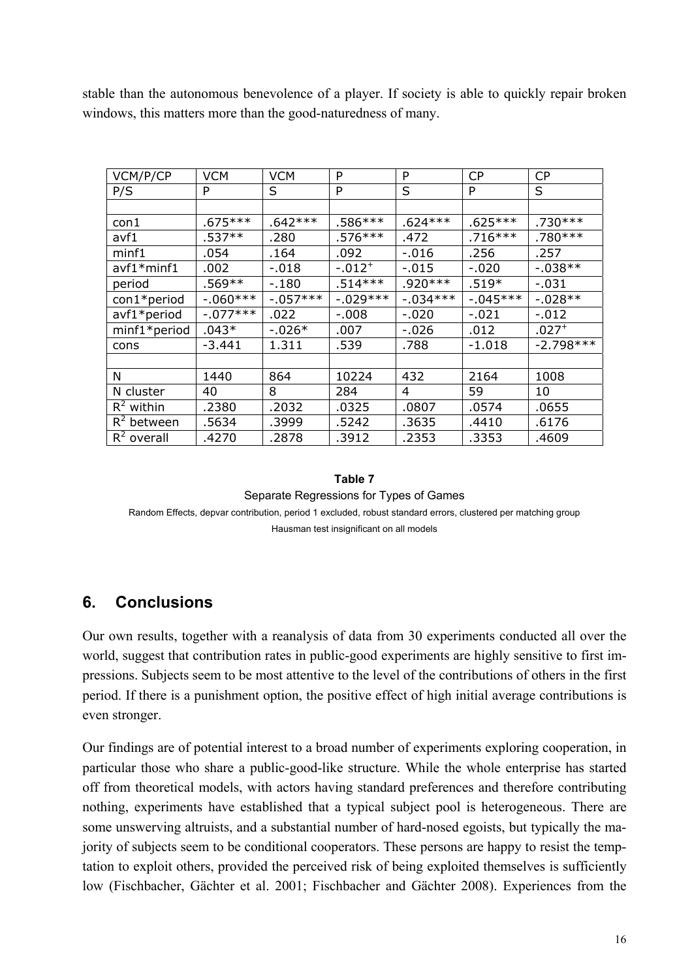stable than the autonomous benevolence of a player. If society is able to quickly repair broken windows, this matters more than the good-naturedness of many.

| VCM/P/CP              | <b>VCM</b> | <b>VCM</b> | P          | P          | CP          | <b>CP</b>   |
|-----------------------|------------|------------|------------|------------|-------------|-------------|
| P/S                   | P          | S          | P          | S          | P           | S           |
|                       |            |            |            |            |             |             |
| con 1                 | $.675***$  | $.642***$  | .586***    | $.624***$  | $.625***$   | $.730***$   |
| avf1                  | $.537**$   | .280       | .576***    | .472       | $.716***$   | $.780***$   |
| minf1                 | .054       | .164       | .092       | $-.016$    | .256        | .257        |
| $avf1*minf1$          | .002       | $-.018$    | $-.012+$   | $-.015$    | $-.020$     | $-0.038**$  |
| period                | .569**     | $-.180$    | $.514***$  | $.920***$  | $.519*$     | $-.031$     |
| $\text{con1*}$ period | $-.060***$ | $-.057***$ | $-.029***$ | $-0.34***$ | $-0.045***$ | $-0.028**$  |
| $avf1*period$         | $-077***$  | .022       | $-.008$    | $-.020$    | $-.021$     | $-.012$     |
| minf1*period          | .043*      | $-0.026*$  | .007       | $-.026$    | .012        | $.027+$     |
| cons                  | $-3.441$   | 1.311      | .539       | .788       | $-1.018$    | $-2.798***$ |
|                       |            |            |            |            |             |             |
| N                     | 1440       | 864        | 10224      | 432        | 2164        | 1008        |
| N cluster             | 40         | 8          | 284        | 4          | 59          | 10          |
| $R^2$ within          | .2380      | .2032      | .0325      | .0807      | .0574       | .0655       |
| $R^2$ between         | .5634      | .3999      | .5242      | .3635      | .4410       | .6176       |
| $R^2$ overall         | .4270      | .2878      | .3912      | .2353      | .3353       | .4609       |

#### **Table 7**

Separate Regressions for Types of Games Random Effects, depvar contribution, period 1 excluded, robust standard errors, clustered per matching group Hausman test insignificant on all models

# **6. Conclusions**

Our own results, together with a reanalysis of data from 30 experiments conducted all over the world, suggest that contribution rates in public-good experiments are highly sensitive to first impressions. Subjects seem to be most attentive to the level of the contributions of others in the first period. If there is a punishment option, the positive effect of high initial average contributions is even stronger.

Our findings are of potential interest to a broad number of experiments exploring cooperation, in particular those who share a public-good-like structure. While the whole enterprise has started off from theoretical models, with actors having standard preferences and therefore contributing nothing, experiments have established that a typical subject pool is heterogeneous. There are some unswerving altruists, and a substantial number of hard-nosed egoists, but typically the majority of subjects seem to be conditional cooperators. These persons are happy to resist the temptation to exploit others, provided the perceived risk of being exploited themselves is sufficiently low (Fischbacher, Gächter et al. 2001; Fischbacher and Gächter 2008). Experiences from the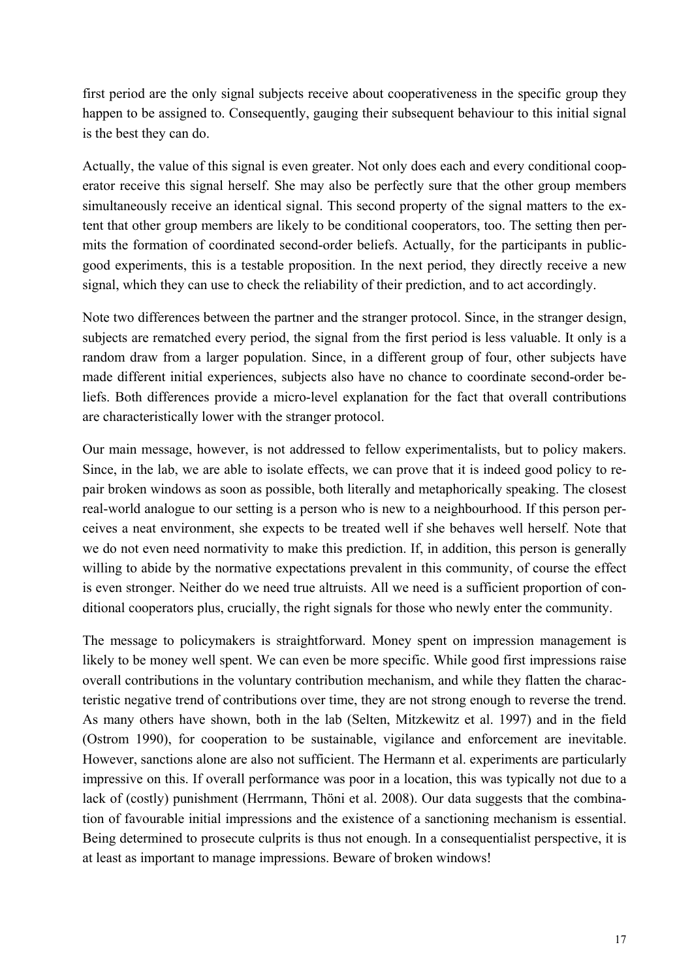first period are the only signal subjects receive about cooperativeness in the specific group they happen to be assigned to. Consequently, gauging their subsequent behaviour to this initial signal is the best they can do.

Actually, the value of this signal is even greater. Not only does each and every conditional cooperator receive this signal herself. She may also be perfectly sure that the other group members simultaneously receive an identical signal. This second property of the signal matters to the extent that other group members are likely to be conditional cooperators, too. The setting then permits the formation of coordinated second-order beliefs. Actually, for the participants in publicgood experiments, this is a testable proposition. In the next period, they directly receive a new signal, which they can use to check the reliability of their prediction, and to act accordingly.

Note two differences between the partner and the stranger protocol. Since, in the stranger design, subjects are rematched every period, the signal from the first period is less valuable. It only is a random draw from a larger population. Since, in a different group of four, other subjects have made different initial experiences, subjects also have no chance to coordinate second-order beliefs. Both differences provide a micro-level explanation for the fact that overall contributions are characteristically lower with the stranger protocol.

Our main message, however, is not addressed to fellow experimentalists, but to policy makers. Since, in the lab, we are able to isolate effects, we can prove that it is indeed good policy to repair broken windows as soon as possible, both literally and metaphorically speaking. The closest real-world analogue to our setting is a person who is new to a neighbourhood. If this person perceives a neat environment, she expects to be treated well if she behaves well herself. Note that we do not even need normativity to make this prediction. If, in addition, this person is generally willing to abide by the normative expectations prevalent in this community, of course the effect is even stronger. Neither do we need true altruists. All we need is a sufficient proportion of conditional cooperators plus, crucially, the right signals for those who newly enter the community.

The message to policymakers is straightforward. Money spent on impression management is likely to be money well spent. We can even be more specific. While good first impressions raise overall contributions in the voluntary contribution mechanism, and while they flatten the characteristic negative trend of contributions over time, they are not strong enough to reverse the trend. As many others have shown, both in the lab (Selten, Mitzkewitz et al. 1997) and in the field (Ostrom 1990), for cooperation to be sustainable, vigilance and enforcement are inevitable. However, sanctions alone are also not sufficient. The Hermann et al. experiments are particularly impressive on this. If overall performance was poor in a location, this was typically not due to a lack of (costly) punishment (Herrmann, Thöni et al. 2008). Our data suggests that the combination of favourable initial impressions and the existence of a sanctioning mechanism is essential. Being determined to prosecute culprits is thus not enough. In a consequentialist perspective, it is at least as important to manage impressions. Beware of broken windows!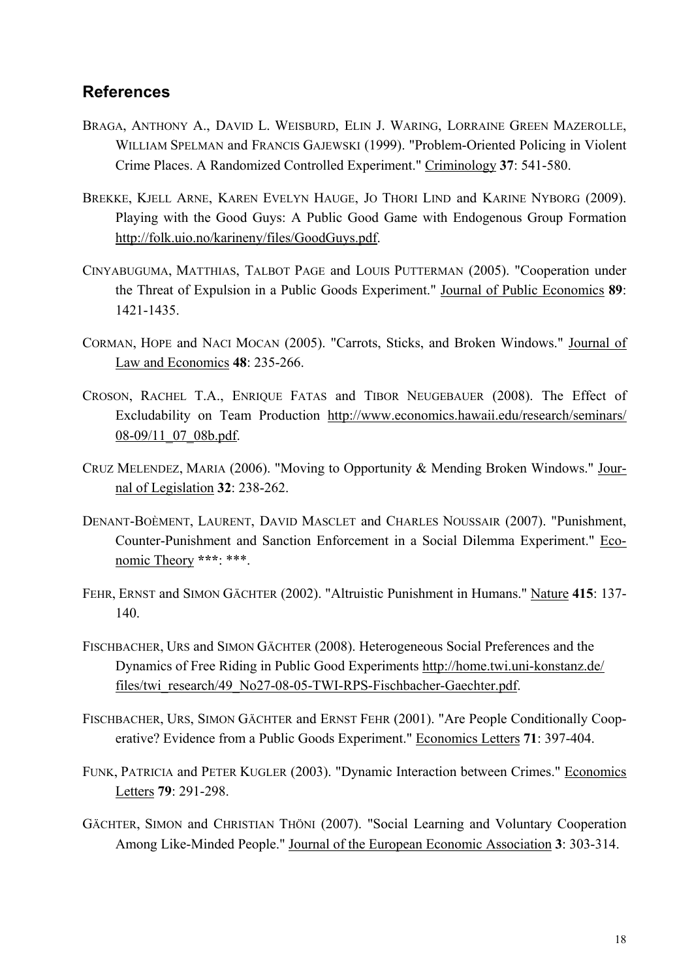# **References**

- BRAGA, ANTHONY A., DAVID L. WEISBURD, ELIN J. WARING, LORRAINE GREEN MAZEROLLE, WILLIAM SPELMAN and FRANCIS GAJEWSKI (1999). "Problem-Oriented Policing in Violent Crime Places. A Randomized Controlled Experiment." Criminology **37**: 541-580.
- BREKKE, KJELL ARNE, KAREN EVELYN HAUGE, JO THORI LIND and KARINE NYBORG (2009). Playing with the Good Guys: A Public Good Game with Endogenous Group Formation http://folk.uio.no/karineny/files/GoodGuys.pdf.
- CINYABUGUMA, MATTHIAS, TALBOT PAGE and LOUIS PUTTERMAN (2005). "Cooperation under the Threat of Expulsion in a Public Goods Experiment." Journal of Public Economics **89**: 1421-1435.
- CORMAN, HOPE and NACI MOCAN (2005). "Carrots, Sticks, and Broken Windows." Journal of Law and Economics **48**: 235-266.
- CROSON, RACHEL T.A., ENRIQUE FATAS and TIBOR NEUGEBAUER (2008). The Effect of Excludability on Team Production http://www.economics.hawaii.edu/research/seminars/ 08-09/11\_07\_08b.pdf.
- CRUZ MELENDEZ, MARIA (2006). "Moving to Opportunity & Mending Broken Windows." Journal of Legislation **32**: 238-262.
- DENANT-BOÈMENT, LAURENT, DAVID MASCLET and CHARLES NOUSSAIR (2007). "Punishment, Counter-Punishment and Sanction Enforcement in a Social Dilemma Experiment." Economic Theory **\*\*\***: \*\*\*.
- FEHR, ERNST and SIMON GÄCHTER (2002). "Altruistic Punishment in Humans." Nature **415**: 137- 140.
- FISCHBACHER, URS and SIMON GÄCHTER (2008). Heterogeneous Social Preferences and the Dynamics of Free Riding in Public Good Experiments http://home.twi.uni-konstanz.de/ files/twi\_research/49\_No27-08-05-TWI-RPS-Fischbacher-Gaechter.pdf.
- FISCHBACHER, URS, SIMON GÄCHTER and ERNST FEHR (2001). "Are People Conditionally Cooperative? Evidence from a Public Goods Experiment." Economics Letters **71**: 397-404.
- FUNK, PATRICIA and PETER KUGLER (2003). "Dynamic Interaction between Crimes." Economics Letters **79**: 291-298.
- GÄCHTER, SIMON and CHRISTIAN THÖNI (2007). "Social Learning and Voluntary Cooperation Among Like-Minded People." Journal of the European Economic Association **3**: 303-314.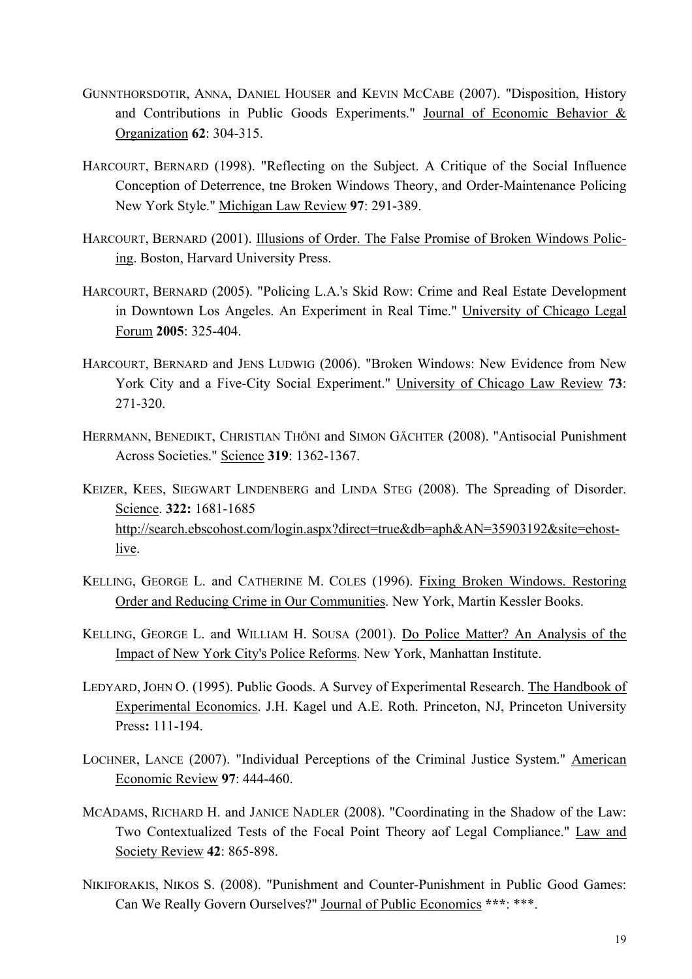- GUNNTHORSDOTIR, ANNA, DANIEL HOUSER and KEVIN MCCABE (2007). "Disposition, History and Contributions in Public Goods Experiments." Journal of Economic Behavior & Organization **62**: 304-315.
- HARCOURT, BERNARD (1998). "Reflecting on the Subject. A Critique of the Social Influence Conception of Deterrence, tne Broken Windows Theory, and Order-Maintenance Policing New York Style." Michigan Law Review **97**: 291-389.
- HARCOURT, BERNARD (2001). Illusions of Order. The False Promise of Broken Windows Policing. Boston, Harvard University Press.
- HARCOURT, BERNARD (2005). "Policing L.A.'s Skid Row: Crime and Real Estate Development in Downtown Los Angeles. An Experiment in Real Time." University of Chicago Legal Forum **2005**: 325-404.
- HARCOURT, BERNARD and JENS LUDWIG (2006). "Broken Windows: New Evidence from New York City and a Five-City Social Experiment." University of Chicago Law Review **73**: 271-320.
- HERRMANN, BENEDIKT, CHRISTIAN THÖNI and SIMON GÄCHTER (2008). "Antisocial Punishment Across Societies." Science **319**: 1362-1367.
- KEIZER, KEES, SIEGWART LINDENBERG and LINDA STEG (2008). The Spreading of Disorder. Science. **322:** 1681-1685 http://search.ebscohost.com/login.aspx?direct=true&db=aph&AN=35903192&site=ehostlive.
- KELLING, GEORGE L. and CATHERINE M. COLES (1996). Fixing Broken Windows. Restoring Order and Reducing Crime in Our Communities. New York, Martin Kessler Books.
- KELLING, GEORGE L. and WILLIAM H. SOUSA (2001). Do Police Matter? An Analysis of the Impact of New York City's Police Reforms. New York, Manhattan Institute.
- LEDYARD, JOHN O. (1995). Public Goods. A Survey of Experimental Research. The Handbook of Experimental Economics. J.H. Kagel und A.E. Roth. Princeton, NJ, Princeton University Press**:** 111-194.
- LOCHNER, LANCE (2007). "Individual Perceptions of the Criminal Justice System." American Economic Review **97**: 444-460.
- MCADAMS, RICHARD H. and JANICE NADLER (2008). "Coordinating in the Shadow of the Law: Two Contextualized Tests of the Focal Point Theory aof Legal Compliance." Law and Society Review **42**: 865-898.
- NIKIFORAKIS, NIKOS S. (2008). "Punishment and Counter-Punishment in Public Good Games: Can We Really Govern Ourselves?" Journal of Public Economics **\*\*\***: \*\*\*.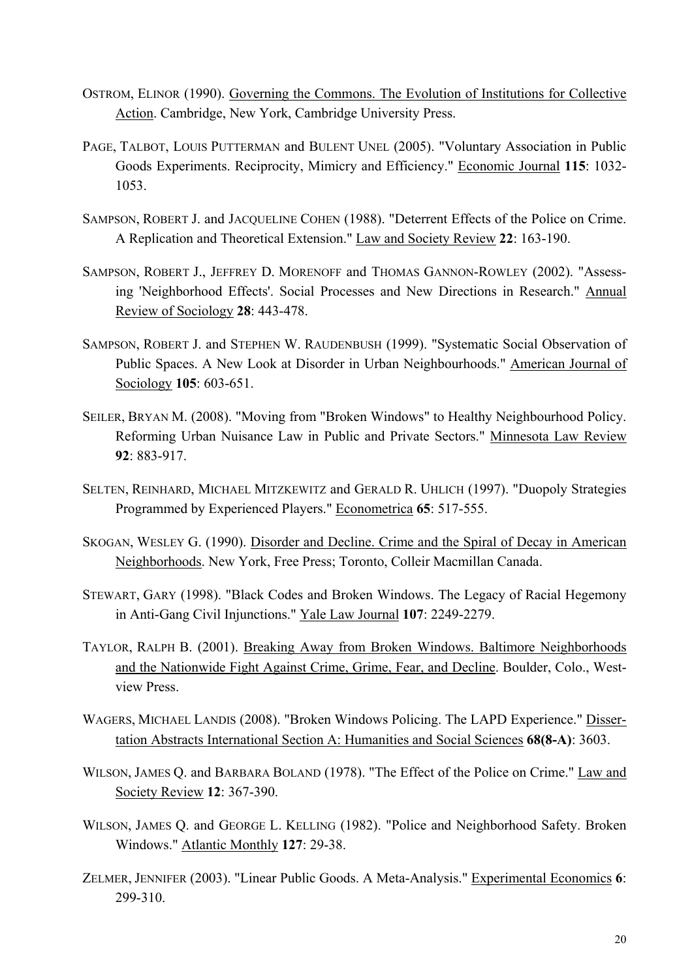- OSTROM, ELINOR (1990). Governing the Commons. The Evolution of Institutions for Collective Action. Cambridge, New York, Cambridge University Press.
- PAGE, TALBOT, LOUIS PUTTERMAN and BULENT UNEL (2005). "Voluntary Association in Public Goods Experiments. Reciprocity, Mimicry and Efficiency." Economic Journal **115**: 1032- 1053.
- SAMPSON, ROBERT J. and JACQUELINE COHEN (1988). "Deterrent Effects of the Police on Crime. A Replication and Theoretical Extension." Law and Society Review **22**: 163-190.
- SAMPSON, ROBERT J., JEFFREY D. MORENOFF and THOMAS GANNON-ROWLEY (2002). "Assessing 'Neighborhood Effects'. Social Processes and New Directions in Research." Annual Review of Sociology **28**: 443-478.
- SAMPSON, ROBERT J. and STEPHEN W. RAUDENBUSH (1999). "Systematic Social Observation of Public Spaces. A New Look at Disorder in Urban Neighbourhoods." American Journal of Sociology **105**: 603-651.
- SEILER, BRYAN M. (2008). "Moving from "Broken Windows" to Healthy Neighbourhood Policy. Reforming Urban Nuisance Law in Public and Private Sectors." Minnesota Law Review **92**: 883-917.
- SELTEN, REINHARD, MICHAEL MITZKEWITZ and GERALD R. UHLICH (1997). "Duopoly Strategies Programmed by Experienced Players." Econometrica **65**: 517-555.
- SKOGAN, WESLEY G. (1990). Disorder and Decline. Crime and the Spiral of Decay in American Neighborhoods. New York, Free Press; Toronto, Colleir Macmillan Canada.
- STEWART, GARY (1998). "Black Codes and Broken Windows. The Legacy of Racial Hegemony in Anti-Gang Civil Injunctions." Yale Law Journal **107**: 2249-2279.
- TAYLOR, RALPH B. (2001). Breaking Away from Broken Windows. Baltimore Neighborhoods and the Nationwide Fight Against Crime, Grime, Fear, and Decline. Boulder, Colo., Westview Press.
- WAGERS, MICHAEL LANDIS (2008). "Broken Windows Policing. The LAPD Experience." Dissertation Abstracts International Section A: Humanities and Social Sciences **68(8-A)**: 3603.
- WILSON, JAMES Q. and BARBARA BOLAND (1978). "The Effect of the Police on Crime." Law and Society Review **12**: 367-390.
- WILSON, JAMES Q. and GEORGE L. KELLING (1982). "Police and Neighborhood Safety. Broken Windows." Atlantic Monthly **127**: 29-38.
- ZELMER, JENNIFER (2003). "Linear Public Goods. A Meta-Analysis." Experimental Economics **6**: 299-310.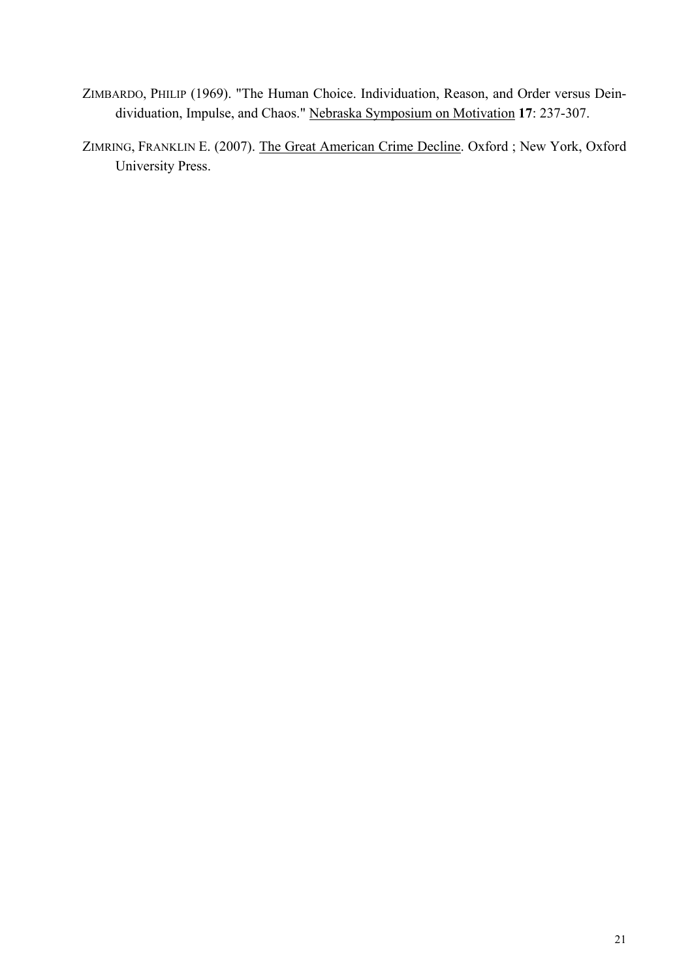- ZIMBARDO, PHILIP (1969). "The Human Choice. Individuation, Reason, and Order versus Deindividuation, Impulse, and Chaos." Nebraska Symposium on Motivation **17**: 237-307.
- ZIMRING, FRANKLIN E. (2007). The Great American Crime Decline. Oxford ; New York, Oxford University Press.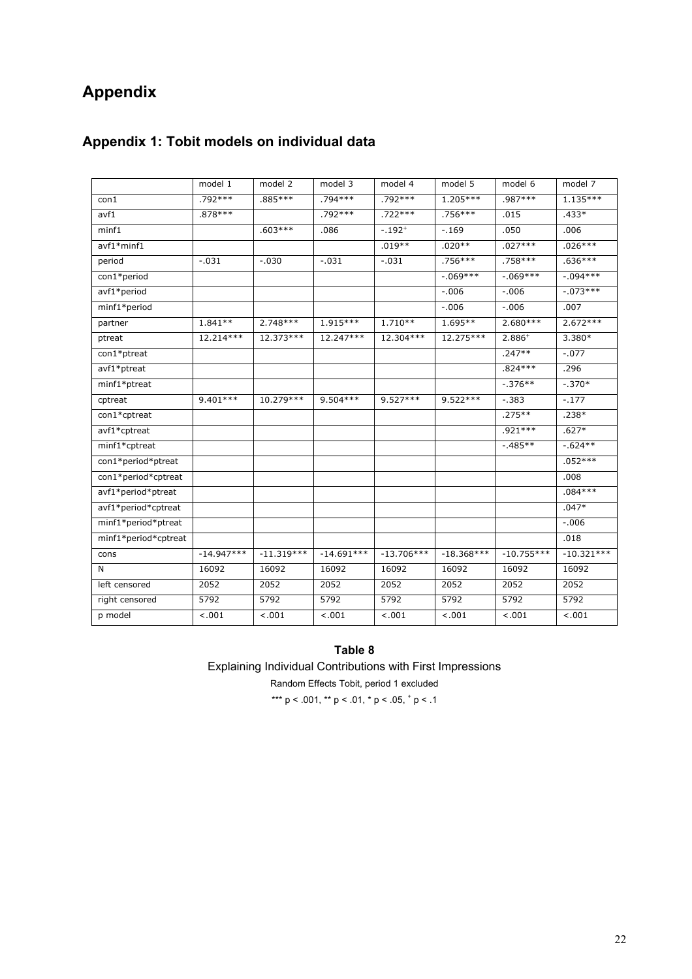# **Appendix**

# **Appendix 1: Tobit models on individual data**

|                       | model 1      | model 2      | model 3      | model 4      | model 5      | model 6      | model 7      |
|-----------------------|--------------|--------------|--------------|--------------|--------------|--------------|--------------|
| $\text{con}1$         | $.792***$    | .885 ***     | $.794***$    | $.792***$    | $1.205***$   | $.987***$    | $1.135***$   |
| avf1                  | $.878***$    |              | .792***      | $.722***$    | .756***      | .015         | $.433*$      |
| minf1                 |              | $.603***$    | .086         | $-.192+$     | $-.169$      | .050         | .006         |
| avf1*minf1            |              |              |              | $.019**$     | $.020**$     | $.027***$    | $.026***$    |
| period                | $-.031$      | $-.030$      | $-.031$      | $-.031$      | $.756***$    | $.758***$    | $.636***$    |
| con1*period           |              |              |              |              | $-.069***$   | $-0.069***$  | $-0.094***$  |
| avf1*period           |              |              |              |              | $-.006$      | $-.006$      | $-.073***$   |
| minf1*period          |              |              |              |              | $-.006$      | $-.006$      | .007         |
| partner               | $1.841**$    | $2.748***$   | $1.915***$   | $1.710**$    | $1.695**$    | $2.680***$   | $2.672***$   |
| ptreat                | 12.214***    | 12.373***    | 12.247***    | 12.304***    | 12.275***    | $2.886+$     | $3.380*$     |
| $\text{con1*}$ ptreat |              |              |              |              |              | $.247**$     | $-.077$      |
| avf1*ptreat           |              |              |              |              |              | $.824***$    | .296         |
| minf1*ptreat          |              |              |              |              |              | $-.376**$    | $-.370*$     |
| cptreat               | 9.401 ***    | 10.279***    | $9.504***$   | $9.527***$   | $9.522***$   | $-.383$      | $-.177$      |
| con1*cptreat          |              |              |              |              |              | $.275***$    | $.238*$      |
| avf1*cptreat          |              |              |              |              |              | $.921***$    | $.627*$      |
| minf1*cptreat         |              |              |              |              |              | $-.485**$    | $-0.624**$   |
| con1*period*ptreat    |              |              |              |              |              |              | $.052***$    |
| con1*period*cptreat   |              |              |              |              |              |              | .008         |
| avf1*period*ptreat    |              |              |              |              |              |              | $.084***$    |
| avf1*period*cptreat   |              |              |              |              |              |              | $.047*$      |
| minf1*period*ptreat   |              |              |              |              |              |              | $-.006$      |
| minf1*period*cptreat  |              |              |              |              |              |              | .018         |
| cons                  | $-14.947***$ | $-11.319***$ | $-14.691***$ | $-13.706***$ | $-18.368***$ | $-10.755***$ | $-10.321***$ |
| N                     | 16092        | 16092        | 16092        | 16092        | 16092        | 16092        | 16092        |
| left censored         | 2052         | 2052         | 2052         | 2052         | 2052         | 2052         | 2052         |
| right censored        | 5792         | 5792         | 5792         | 5792         | 5792         | 5792         | 5792         |
| p model               | $-.001$      | < .001       | $-.001$      | $-.001$      | $-.001$      | $-.001$      | $-.001$      |

#### **Table 8**

Explaining Individual Contributions with First Impressions

Random Effects Tobit, period 1 excluded

\*\*\* p < .001, \*\* p < .01, \* p < .05,  $\frac{+}{7}$  p < .1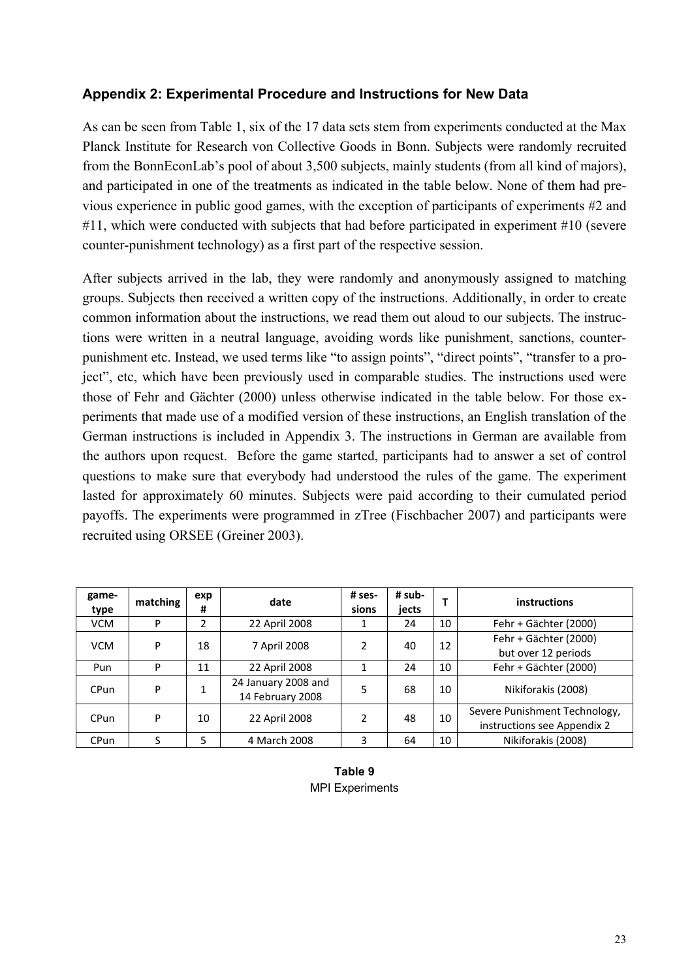## **Appendix 2: Experimental Procedure and Instructions for New Data**

As can be seen from Table 1, six of the 17 data sets stem from experiments conducted at the Max Planck Institute for Research von Collective Goods in Bonn. Subjects were randomly recruited from the BonnEconLab's pool of about 3,500 subjects, mainly students (from all kind of majors), and participated in one of the treatments as indicated in the table below. None of them had previous experience in public good games, with the exception of participants of experiments #2 and #11, which were conducted with subjects that had before participated in experiment #10 (severe counter-punishment technology) as a first part of the respective session.

After subjects arrived in the lab, they were randomly and anonymously assigned to matching groups. Subjects then received a written copy of the instructions. Additionally, in order to create common information about the instructions, we read them out aloud to our subjects. The instructions were written in a neutral language, avoiding words like punishment, sanctions, counterpunishment etc. Instead, we used terms like "to assign points", "direct points", "transfer to a project", etc, which have been previously used in comparable studies. The instructions used were those of Fehr and Gächter (2000) unless otherwise indicated in the table below. For those experiments that made use of a modified version of these instructions, an English translation of the German instructions is included in Appendix 3. The instructions in German are available from the authors upon request. Before the game started, participants had to answer a set of control questions to make sure that everybody had understood the rules of the game. The experiment lasted for approximately 60 minutes. Subjects were paid according to their cumulated period payoffs. The experiments were programmed in zTree (Fischbacher 2007) and participants were recruited using ORSEE (Greiner 2003).

| game-<br>type | matching | exp<br># | date                                    | # ses-<br>sions | # sub-<br>jects |    | instructions                                                 |
|---------------|----------|----------|-----------------------------------------|-----------------|-----------------|----|--------------------------------------------------------------|
| <b>VCM</b>    | P        | 2        | 22 April 2008                           |                 | 24              | 10 | Fehr + Gächter (2000)                                        |
| <b>VCM</b>    | P        | 18       | 7 April 2008                            | 2               | 40              | 12 | Fehr + Gächter (2000)<br>but over 12 periods                 |
| Pun           | P        | 11       | 22 April 2008                           |                 | 24              | 10 | Fehr + Gächter (2000)                                        |
| CPun          | P        |          | 24 January 2008 and<br>14 February 2008 | 5               | 68              | 10 | Nikiforakis (2008)                                           |
| <b>CPun</b>   | P        | 10       | 22 April 2008                           | 2               | 48              | 10 | Severe Punishment Technology,<br>instructions see Appendix 2 |
| <b>CPun</b>   | c        | 5        | 4 March 2008                            | 3               | 64              | 10 | Nikiforakis (2008)                                           |

**Table 9**  MPI Experiments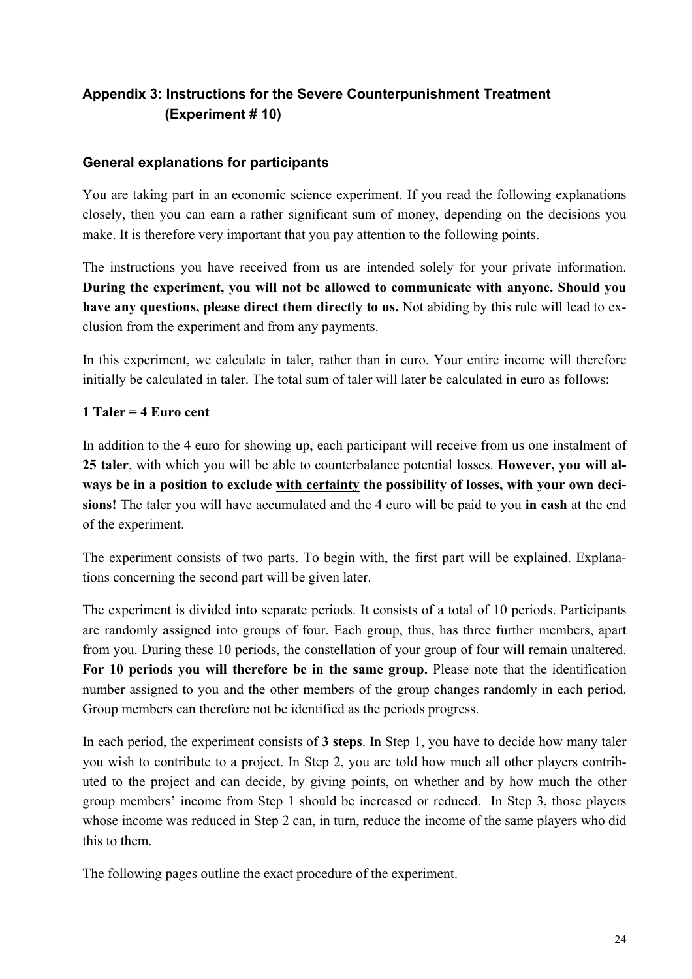# **Appendix 3: Instructions for the Severe Counterpunishment Treatment (Experiment # 10)**

### **General explanations for participants**

You are taking part in an economic science experiment. If you read the following explanations closely, then you can earn a rather significant sum of money, depending on the decisions you make. It is therefore very important that you pay attention to the following points.

The instructions you have received from us are intended solely for your private information. **During the experiment, you will not be allowed to communicate with anyone. Should you have any questions, please direct them directly to us.** Not abiding by this rule will lead to exclusion from the experiment and from any payments.

In this experiment, we calculate in taler, rather than in euro. Your entire income will therefore initially be calculated in taler. The total sum of taler will later be calculated in euro as follows:

### **1 Taler = 4 Euro cent**

In addition to the 4 euro for showing up, each participant will receive from us one instalment of **25 taler**, with which you will be able to counterbalance potential losses. **However, you will always be in a position to exclude with certainty the possibility of losses, with your own decisions!** The taler you will have accumulated and the 4 euro will be paid to you **in cash** at the end of the experiment.

The experiment consists of two parts. To begin with, the first part will be explained. Explanations concerning the second part will be given later.

The experiment is divided into separate periods. It consists of a total of 10 periods. Participants are randomly assigned into groups of four. Each group, thus, has three further members, apart from you. During these 10 periods, the constellation of your group of four will remain unaltered. **For 10 periods you will therefore be in the same group.** Please note that the identification number assigned to you and the other members of the group changes randomly in each period. Group members can therefore not be identified as the periods progress.

In each period, the experiment consists of **3 steps**. In Step 1, you have to decide how many taler you wish to contribute to a project. In Step 2, you are told how much all other players contributed to the project and can decide, by giving points, on whether and by how much the other group members' income from Step 1 should be increased or reduced. In Step 3, those players whose income was reduced in Step 2 can, in turn, reduce the income of the same players who did this to them.

The following pages outline the exact procedure of the experiment.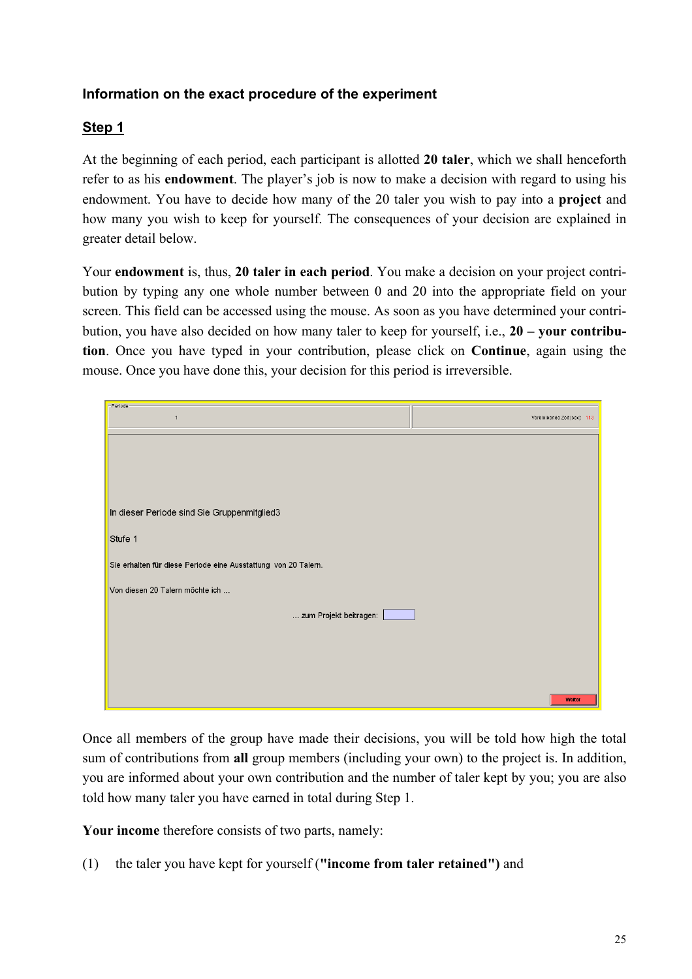# **Information on the exact procedure of the experiment**

# **Step 1**

At the beginning of each period, each participant is allotted **20 taler**, which we shall henceforth refer to as his **endowment**. The player's job is now to make a decision with regard to using his endowment. You have to decide how many of the 20 taler you wish to pay into a **project** and how many you wish to keep for yourself. The consequences of your decision are explained in greater detail below.

Your **endowment** is, thus, **20 taler in each period**. You make a decision on your project contribution by typing any one whole number between 0 and 20 into the appropriate field on your screen. This field can be accessed using the mouse. As soon as you have determined your contribution, you have also decided on how many taler to keep for yourself, i.e., **20 – your contribution**. Once you have typed in your contribution, please click on **Continue**, again using the mouse. Once you have done this, your decision for this period is irreversible.

| - Periode                                                      |                              |
|----------------------------------------------------------------|------------------------------|
| $\mathbf{1}$                                                   | Verbleibende Zeit [sec]: 113 |
|                                                                |                              |
|                                                                |                              |
|                                                                |                              |
|                                                                |                              |
|                                                                |                              |
|                                                                |                              |
|                                                                |                              |
|                                                                |                              |
|                                                                |                              |
| In dieser Periode sind Sie Gruppenmitglied3                    |                              |
|                                                                |                              |
| Stufe 1                                                        |                              |
|                                                                |                              |
|                                                                |                              |
| Sie erhalten für diese Periode eine Ausstattung von 20 Talern. |                              |
|                                                                |                              |
| Von diesen 20 Talern möchte ich                                |                              |
|                                                                |                              |
| zum Projekt beitragen:                                         |                              |
|                                                                |                              |
|                                                                |                              |
|                                                                |                              |
|                                                                |                              |
|                                                                |                              |
|                                                                |                              |
|                                                                |                              |
|                                                                |                              |
|                                                                | Weiter                       |

Once all members of the group have made their decisions, you will be told how high the total sum of contributions from **all** group members (including your own) to the project is. In addition, you are informed about your own contribution and the number of taler kept by you; you are also told how many taler you have earned in total during Step 1.

**Your income** therefore consists of two parts, namely:

(1) the taler you have kept for yourself (**"income from taler retained")** and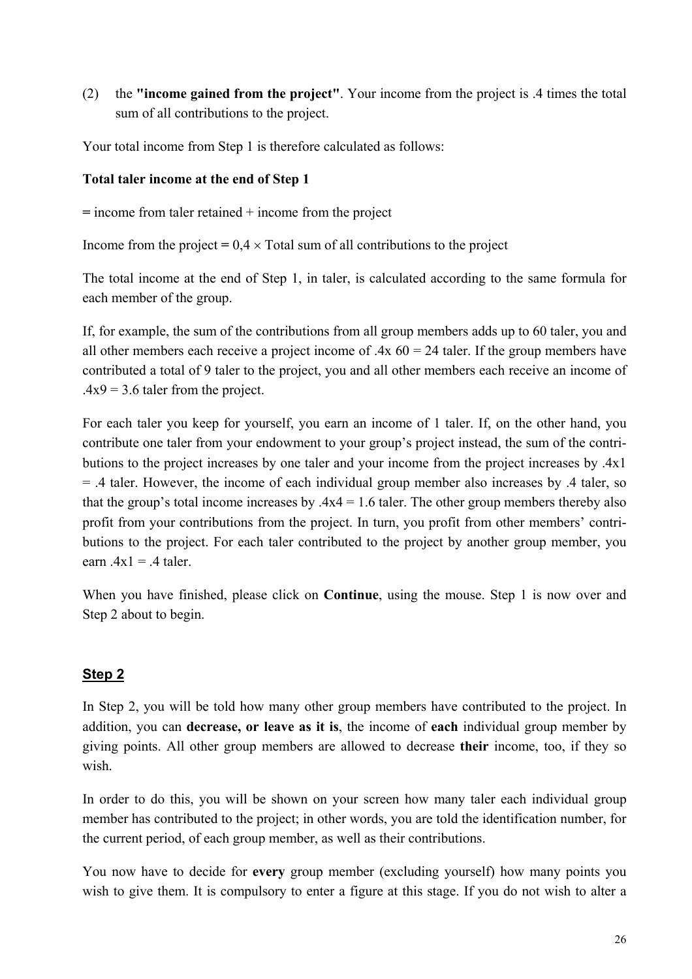(2) the **"income gained from the project"**. Your income from the project is .4 times the total sum of all contributions to the project.

Your total income from Step 1 is therefore calculated as follows:

### **Total taler income at the end of Step 1**

**=** income from taler retained + income from the project

Income from the project  $= 0.4 \times$  Total sum of all contributions to the project

The total income at the end of Step 1, in taler, is calculated according to the same formula for each member of the group.

If, for example, the sum of the contributions from all group members adds up to 60 taler, you and all other members each receive a project income of  $.4x\,60 = 24$  taler. If the group members have contributed a total of 9 taler to the project, you and all other members each receive an income of  $.4x9 = 3.6$  taler from the project.

For each taler you keep for yourself, you earn an income of 1 taler. If, on the other hand, you contribute one taler from your endowment to your group's project instead, the sum of the contributions to the project increases by one taler and your income from the project increases by .4x1 = .4 taler. However, the income of each individual group member also increases by .4 taler, so that the group's total income increases by  $.4x4 = 1.6$  taler. The other group members thereby also profit from your contributions from the project. In turn, you profit from other members' contributions to the project. For each taler contributed to the project by another group member, you earn  $.4x1 = .4$  taler.

When you have finished, please click on **Continue**, using the mouse. Step 1 is now over and Step 2 about to begin.

## **Step 2**

In Step 2, you will be told how many other group members have contributed to the project. In addition, you can **decrease, or leave as it is**, the income of **each** individual group member by giving points. All other group members are allowed to decrease **their** income, too, if they so wish.

In order to do this, you will be shown on your screen how many taler each individual group member has contributed to the project; in other words, you are told the identification number, for the current period, of each group member, as well as their contributions.

You now have to decide for **every** group member (excluding yourself) how many points you wish to give them. It is compulsory to enter a figure at this stage. If you do not wish to alter a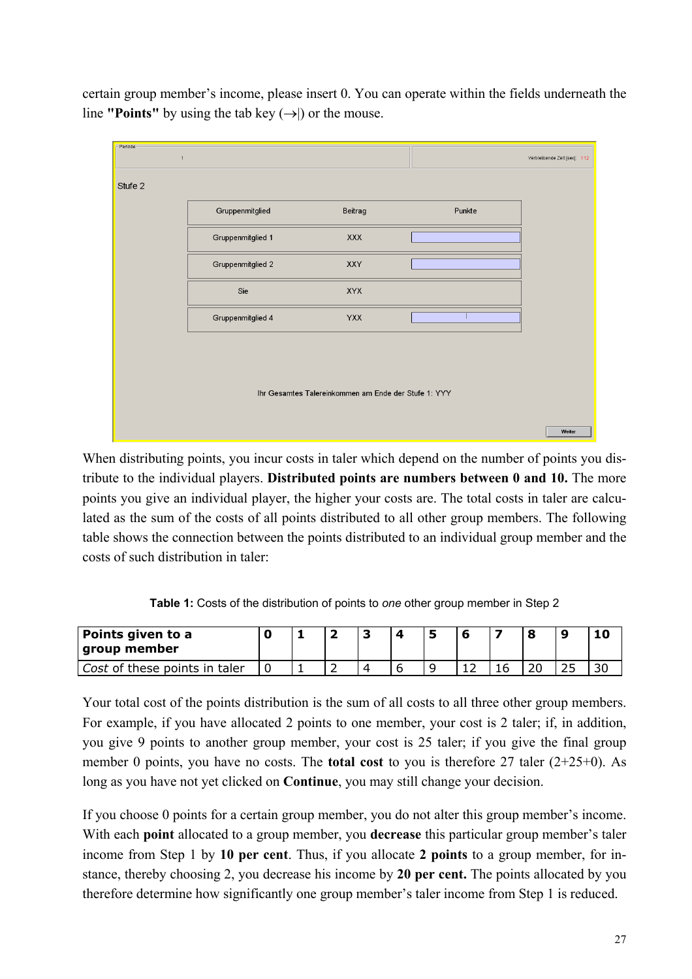certain group member's income, please insert 0. You can operate within the fields underneath the line **"Points"** by using the tab key  $(\rightarrow)$  or the mouse.

| -Periode | $\mathbf{1}$      |                                                      |        | Verbleibende Zeit [sec]: 112 |
|----------|-------------------|------------------------------------------------------|--------|------------------------------|
| Stufe 2  |                   |                                                      |        |                              |
|          | Gruppenmitglied   | Beitrag                                              | Punkte |                              |
|          | Gruppenmitglied 1 | <b>XXX</b>                                           |        |                              |
|          | Gruppenmitglied 2 | XXY                                                  |        |                              |
|          | Sie               | <b>XYX</b>                                           |        |                              |
|          | Gruppenmitglied 4 | <b>YXX</b>                                           |        |                              |
|          |                   |                                                      |        |                              |
|          |                   |                                                      |        |                              |
|          |                   | Ihr Gesamtes Talereinkommen am Ende der Stufe 1: YYY |        |                              |
|          |                   |                                                      |        | Weiter                       |

When distributing points, you incur costs in taler which depend on the number of points you distribute to the individual players. **Distributed points are numbers between 0 and 10.** The more points you give an individual player, the higher your costs are. The total costs in taler are calculated as the sum of the costs of all points distributed to all other group members. The following table shows the connection between the points distributed to an individual group member and the costs of such distribution in taler:

**Table 1:** Costs of the distribution of points to *one* other group member in Step 2

| Points given to a<br>group member |  |  |   |  |        |    |
|-----------------------------------|--|--|---|--|--------|----|
| Cost of these points in taler     |  |  | u |  | $\sim$ | 30 |

Your total cost of the points distribution is the sum of all costs to all three other group members. For example, if you have allocated 2 points to one member, your cost is 2 taler; if, in addition, you give 9 points to another group member, your cost is 25 taler; if you give the final group member 0 points, you have no costs. The **total cost** to you is therefore 27 taler (2+25+0). As long as you have not yet clicked on **Continue**, you may still change your decision.

If you choose 0 points for a certain group member, you do not alter this group member's income. With each **point** allocated to a group member, you **decrease** this particular group member's taler income from Step 1 by **10 per cent**. Thus, if you allocate **2 points** to a group member, for instance, thereby choosing 2, you decrease his income by **20 per cent.** The points allocated by you therefore determine how significantly one group member's taler income from Step 1 is reduced.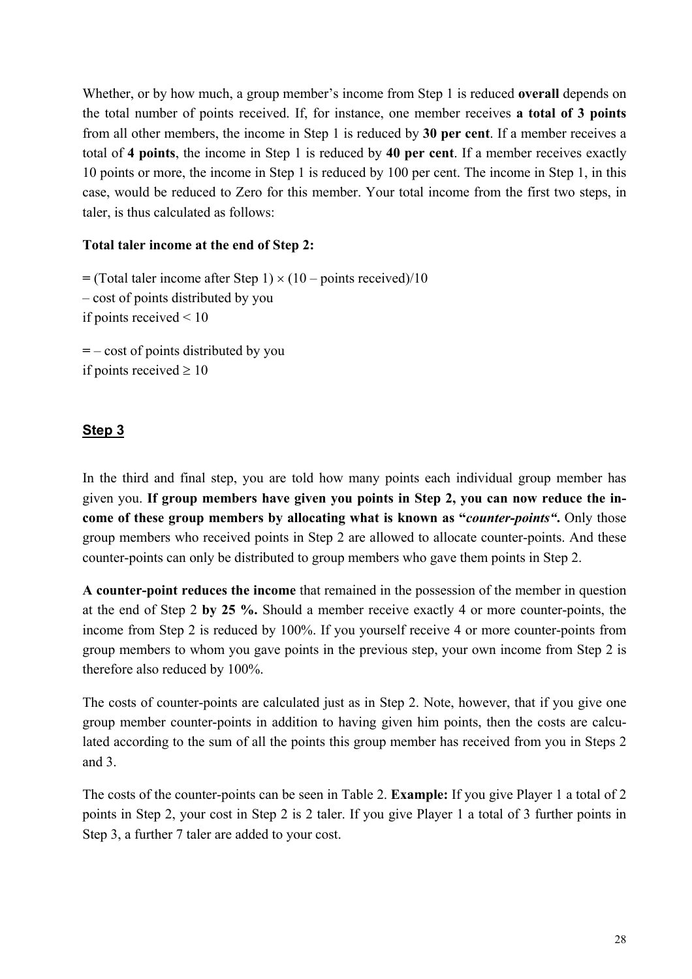Whether, or by how much, a group member's income from Step 1 is reduced **overall** depends on the total number of points received. If, for instance, one member receives **a total of 3 points** from all other members, the income in Step 1 is reduced by **30 per cent**. If a member receives a total of **4 points**, the income in Step 1 is reduced by **40 per cent**. If a member receives exactly 10 points or more, the income in Step 1 is reduced by 100 per cent. The income in Step 1, in this case, would be reduced to Zero for this member. Your total income from the first two steps, in taler, is thus calculated as follows:

### **Total taler income at the end of Step 2:**

 $=$  (Total taler income after Step 1)  $\times$  (10 – points received)/10 – cost of points distributed by you if points received < 10 **=** – cost of points distributed by you if points received  $\geq 10$ 

### **Step 3**

In the third and final step, you are told how many points each individual group member has given you. **If group members have given you points in Step 2, you can now reduce the income of these group members by allocating what is known as "***counter-points"***.** Only those group members who received points in Step 2 are allowed to allocate counter-points. And these counter-points can only be distributed to group members who gave them points in Step 2.

**A counter-point reduces the income** that remained in the possession of the member in question at the end of Step 2 **by 25 %.** Should a member receive exactly 4 or more counter-points, the income from Step 2 is reduced by 100%. If you yourself receive 4 or more counter-points from group members to whom you gave points in the previous step, your own income from Step 2 is therefore also reduced by 100%.

The costs of counter-points are calculated just as in Step 2. Note, however, that if you give one group member counter-points in addition to having given him points, then the costs are calculated according to the sum of all the points this group member has received from you in Steps 2 and 3.

The costs of the counter-points can be seen in Table 2. **Example:** If you give Player 1 a total of 2 points in Step 2, your cost in Step 2 is 2 taler. If you give Player 1 a total of 3 further points in Step 3, a further 7 taler are added to your cost.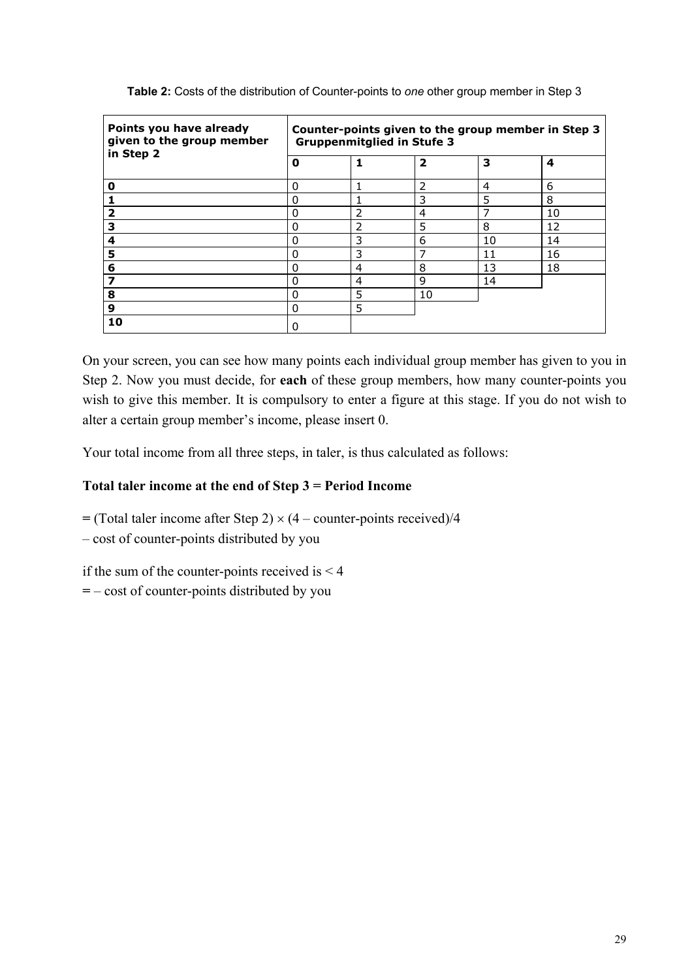| Points you have already<br>given to the group member<br>in Step 2 | Counter-points given to the group member in Step 3<br><b>Gruppenmitglied in Stufe 3</b> |   |    |    |    |  |
|-------------------------------------------------------------------|-----------------------------------------------------------------------------------------|---|----|----|----|--|
|                                                                   | $\overline{\mathbf{2}}$<br>3<br>4<br>0                                                  |   |    |    |    |  |
| 0                                                                 | 0                                                                                       |   | 2  | 4  | 6  |  |
|                                                                   | 0                                                                                       |   | 3  | 5  | 8  |  |
|                                                                   | $\Omega$                                                                                | 2 | 4  |    | 10 |  |
| з                                                                 | 0                                                                                       | 2 | 5  | 8  | 12 |  |
| 4                                                                 | $\Omega$                                                                                | 3 | 6  | 10 | 14 |  |
| 5                                                                 | $\Omega$                                                                                | 3 | 7  | 11 | 16 |  |
| 6                                                                 | 0                                                                                       | 4 | 8  | 13 | 18 |  |
|                                                                   | 0                                                                                       | 4 | 9  | 14 |    |  |
| 8                                                                 | $\Omega$                                                                                | 5 | 10 |    |    |  |
| 9                                                                 | 0                                                                                       | 5 |    |    |    |  |
| 10                                                                | 0                                                                                       |   |    |    |    |  |

**Table 2:** Costs of the distribution of Counter-points to *one* other group member in Step 3

On your screen, you can see how many points each individual group member has given to you in Step 2. Now you must decide, for **each** of these group members, how many counter-points you wish to give this member. It is compulsory to enter a figure at this stage. If you do not wish to alter a certain group member's income, please insert 0.

Your total income from all three steps, in taler, is thus calculated as follows:

### **Total taler income at the end of Step 3 = Period Income**

 $=$  (Total taler income after Step 2)  $\times$  (4 – counter-points received)/4

– cost of counter-points distributed by you

if the sum of the counter-points received is  $\leq 4$ 

**=** – cost of counter-points distributed by you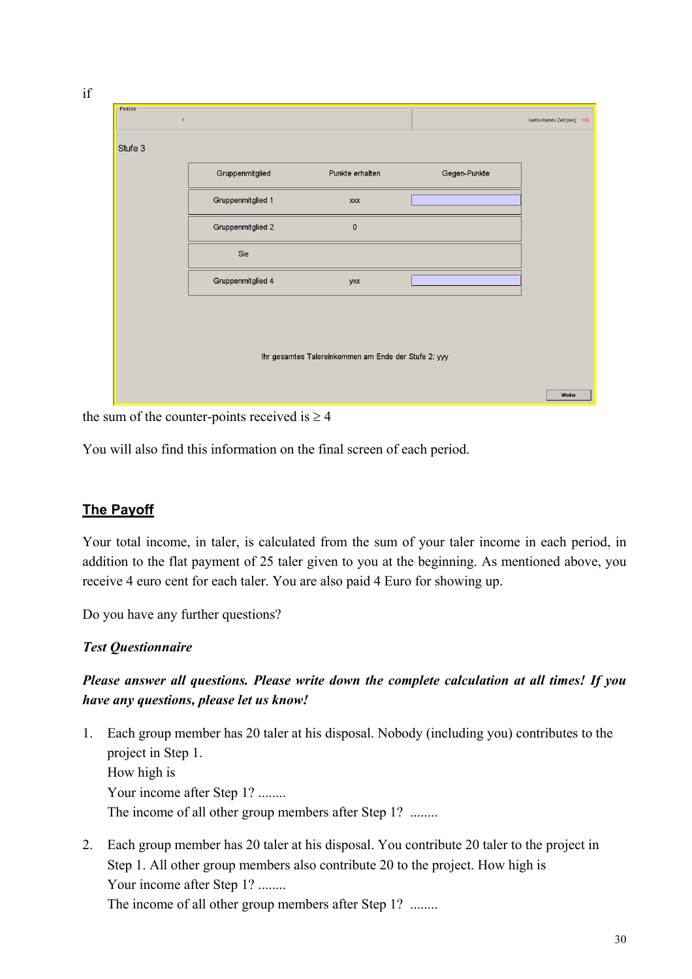| Gruppenmitglied   | Punkte erhalten | Gegen-Punkte |  |
|-------------------|-----------------|--------------|--|
| Gruppenmitglied 1 | XXX             |              |  |
| Gruppenmitglied 2 | $\pmb{0}$       |              |  |
| Sie               |                 |              |  |
| Gruppenmitglied 4 | yxx             |              |  |
|                   |                 |              |  |
|                   |                 |              |  |

the sum of the counter-points received is  $\geq 4$ 

You will also find this information on the final screen of each period.

# **The Payoff**

if

Your total income, in taler, is calculated from the sum of your taler income in each period, in addition to the flat payment of 25 taler given to you at the beginning. As mentioned above, you receive 4 euro cent for each taler. You are also paid 4 Euro for showing up.

Do you have any further questions?

### *Test Questionnaire*

## *Please answer all questions. Please write down the complete calculation at all times! If you have any questions, please let us know!*

- 1. Each group member has 20 taler at his disposal. Nobody (including you) contributes to the project in Step 1. How high is Your income after Step 1? ........ The income of all other group members after Step 1? ........
- 2. Each group member has 20 taler at his disposal. You contribute 20 taler to the project in Step 1. All other group members also contribute 20 to the project. How high is Your income after Step 1? ........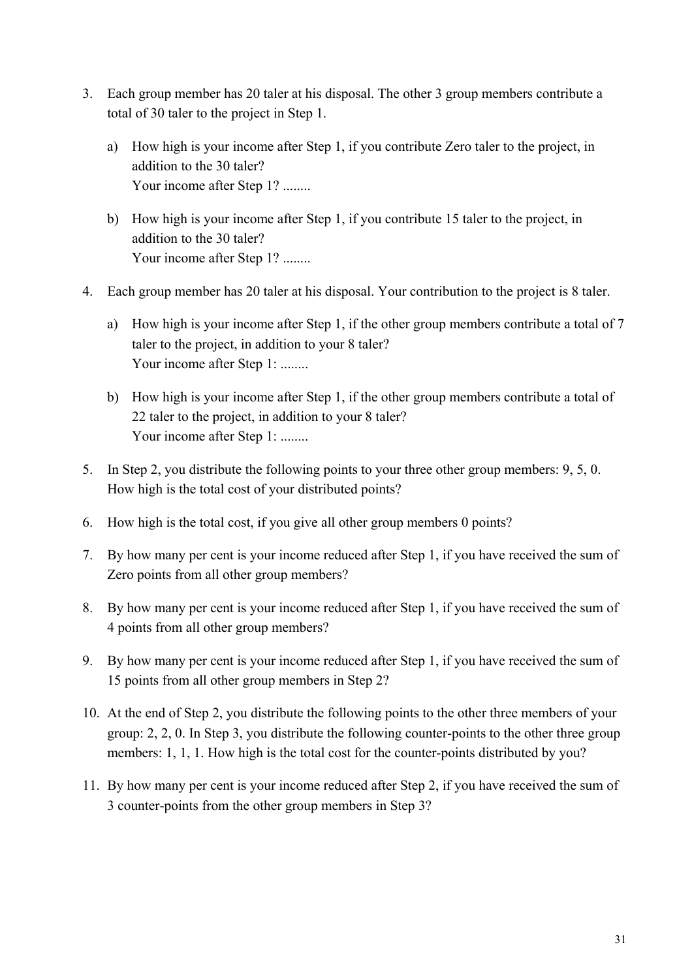- 3. Each group member has 20 taler at his disposal. The other 3 group members contribute a total of 30 taler to the project in Step 1.
	- a) How high is your income after Step 1, if you contribute Zero taler to the project, in addition to the 30 taler? Your income after Step 1? ........
	- b) How high is your income after Step 1, if you contribute 15 taler to the project, in addition to the 30 taler? Your income after Step 1? ........
- 4. Each group member has 20 taler at his disposal. Your contribution to the project is 8 taler.
	- a) How high is your income after Step 1, if the other group members contribute a total of 7 taler to the project, in addition to your 8 taler? Your income after Step 1: ........
	- b) How high is your income after Step 1, if the other group members contribute a total of 22 taler to the project, in addition to your 8 taler? Your income after Step 1: ........
- 5. In Step 2, you distribute the following points to your three other group members: 9, 5, 0. How high is the total cost of your distributed points?
- 6. How high is the total cost, if you give all other group members 0 points?
- 7. By how many per cent is your income reduced after Step 1, if you have received the sum of Zero points from all other group members?
- 8. By how many per cent is your income reduced after Step 1, if you have received the sum of 4 points from all other group members?
- 9. By how many per cent is your income reduced after Step 1, if you have received the sum of 15 points from all other group members in Step 2?
- 10. At the end of Step 2, you distribute the following points to the other three members of your group: 2, 2, 0. In Step 3, you distribute the following counter-points to the other three group members: 1, 1, 1. How high is the total cost for the counter-points distributed by you?
- 11. By how many per cent is your income reduced after Step 2, if you have received the sum of 3 counter-points from the other group members in Step 3?